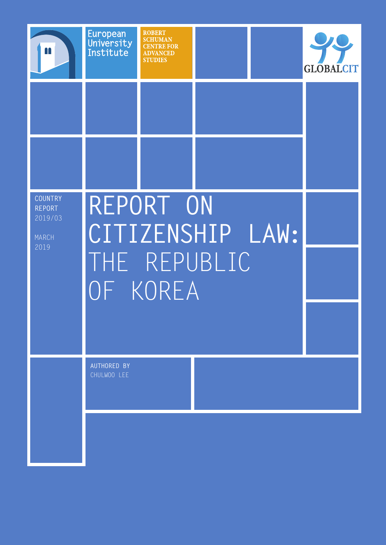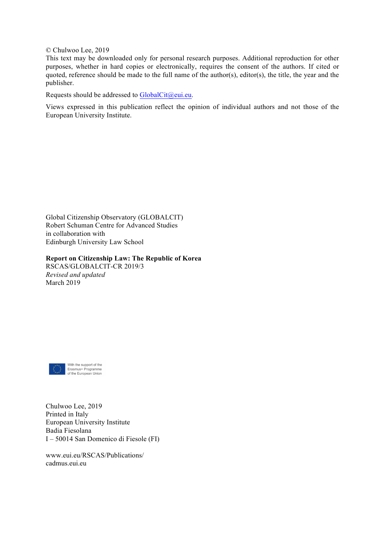© Chulwoo Lee, 2019

This text may be downloaded only for personal research purposes. Additional reproduction for other purposes, whether in hard copies or electronically, requires the consent of the authors. If cited or quoted, reference should be made to the full name of the author(s), editor(s), the title, the year and the publisher.

Requests should be addressed to  $GlobalCit@eui.eu.$ 

Views expressed in this publication reflect the opinion of individual authors and not those of the European University Institute.

Global Citizenship Observatory (GLOBALCIT) Robert Schuman Centre for Advanced Studies in collaboration with Edinburgh University Law School

**Report on Citizenship Law: The Republic of Korea** RSCAS/GLOBALCIT-CR 2019/3 *Revised and updated*



March 2019

With the support of the Erasmus+ Programme<br>
of the European Union

Chulwoo Lee, 2019 Printed in Italy European University Institute Badia Fiesolana I – 50014 San Domenico di Fiesole (FI)

www.eui.eu/RSCAS/Publications/ cadmus.eui.eu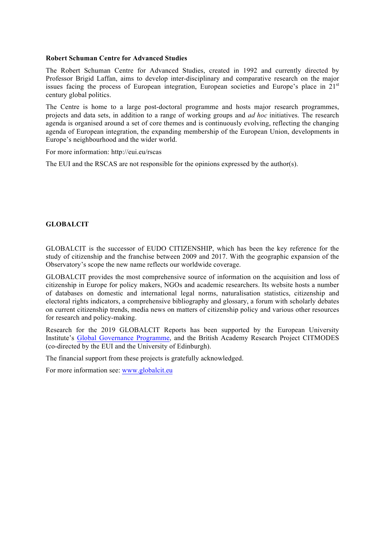#### **Robert Schuman Centre for Advanced Studies**

The Robert Schuman Centre for Advanced Studies, created in 1992 and currently directed by Professor Brigid Laffan, aims to develop inter-disciplinary and comparative research on the major issues facing the process of European integration, European societies and Europe's place in 21<sup>st</sup> century global politics.

The Centre is home to a large post-doctoral programme and hosts major research programmes, projects and data sets, in addition to a range of working groups and *ad hoc* initiatives. The research agenda is organised around a set of core themes and is continuously evolving, reflecting the changing agenda of European integration, the expanding membership of the European Union, developments in Europe's neighbourhood and the wider world.

For more information: http://eui.eu/rscas

The EUI and the RSCAS are not responsible for the opinions expressed by the author(s).

### **GLOBALCIT**

GLOBALCIT is the successor of EUDO CITIZENSHIP, which has been the key reference for the study of citizenship and the franchise between 2009 and 2017. With the geographic expansion of the Observatory's scope the new name reflects our worldwide coverage.

GLOBALCIT provides the most comprehensive source of information on the acquisition and loss of citizenship in Europe for policy makers, NGOs and academic researchers. Its website hosts a number of databases on domestic and international legal norms, naturalisation statistics, citizenship and electoral rights indicators, a comprehensive bibliography and glossary, a forum with scholarly debates on current citizenship trends, media news on matters of citizenship policy and various other resources for research and policy-making.

Research for the 2019 GLOBALCIT Reports has been supported by the European University Institute's Global Governance Programme, and the British Academy Research Project CITMODES (co-directed by the EUI and the University of Edinburgh).

The financial support from these projects is gratefully acknowledged.

For more information see: www.globalcit.eu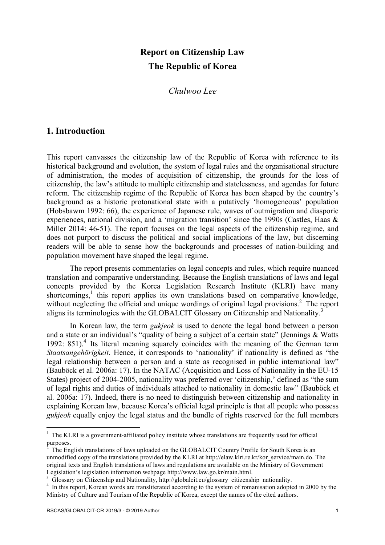# **Report on Citizenship Law The Republic of Korea**

*Chulwoo Lee*

# **1. Introduction**

This report canvasses the citizenship law of the Republic of Korea with reference to its historical background and evolution, the system of legal rules and the organisational structure of administration, the modes of acquisition of citizenship, the grounds for the loss of citizenship, the law's attitude to multiple citizenship and statelessness, and agendas for future reform. The citizenship regime of the Republic of Korea has been shaped by the country's background as a historic protonational state with a putatively 'homogeneous' population (Hobsbawm 1992: 66), the experience of Japanese rule, waves of outmigration and diasporic experiences, national division, and a 'migration transition' since the 1990s (Castles, Haas & Miller 2014: 46-51). The report focuses on the legal aspects of the citizenship regime, and does not purport to discuss the political and social implications of the law, but discerning readers will be able to sense how the backgrounds and processes of nation-building and population movement have shaped the legal regime.

The report presents commentaries on legal concepts and rules, which require nuanced translation and comparative understanding. Because the English translations of laws and legal concepts provided by the Korea Legislation Research Institute (KLRI) have many  $shortcoming<sup>1</sup>$  this report applies its own translations based on comparative knowledge, without neglecting the official and unique wordings of original legal provisions.<sup>2</sup> The report aligns its terminologies with the GLOBALCIT Glossary on Citizenship and Nationality.3

In Korean law, the term *gukjeok* is used to denote the legal bond between a person and a state or an individual's "quality of being a subject of a certain state" (Jennings & Watts 1992:  $851$ <sup>4</sup>. Its literal meaning squarely coincides with the meaning of the German term *Staatsangehörigkeit*. Hence, it corresponds to 'nationality' if nationality is defined as "the legal relationship between a person and a state as recognised in public international law" (Bauböck et al. 2006a: 17). In the NATAC (Acquisition and Loss of Nationality in the EU-15 States) project of 2004-2005, nationality was preferred over 'citizenship,' defined as "the sum of legal rights and duties of individuals attached to nationality in domestic law" (Bauböck et al. 2006a: 17). Indeed, there is no need to distinguish between citizenship and nationality in explaining Korean law, because Korea's official legal principle is that all people who possess *gukjeok* equally enjoy the legal status and the bundle of rights reserved for the full members

 $1$  The KLRI is a government-affiliated policy institute whose translations are frequently used for official purposes.

The English translations of laws uploaded on the GLOBALCIT Country Profile for South Korea is an unmodified copy of the translations provided by the KLRI at http://elaw.klri.re.kr/kor\_service/main.do. The original texts and English translations of laws and regulations are available on the Ministry of Government

Legislation's legislation information webpage http://www.law.go.kr/main.html.<br>
<sup>3</sup> Glossary on Citizenship and Nationality, http://globalcit.eu/glossary\_citizenship\_nationality.<br>
<sup>4</sup> In this report, Korean words are trans Ministry of Culture and Tourism of the Republic of Korea, except the names of the cited authors.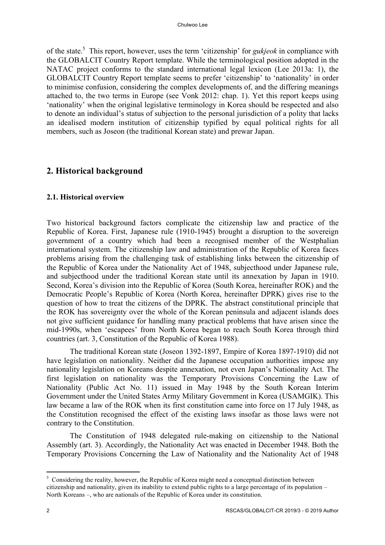of the state.5 This report, however, uses the term 'citizenship' for *gukjeok* in compliance with the GLOBALCIT Country Report template. While the terminological position adopted in the NATAC project conforms to the standard international legal lexicon (Lee 2013a: 1), the GLOBALCIT Country Report template seems to prefer 'citizenship' to 'nationality' in order to minimise confusion, considering the complex developments of, and the differing meanings attached to, the two terms in Europe (see Vonk 2012: chap. 1). Yet this report keeps using 'nationality' when the original legislative terminology in Korea should be respected and also to denote an individual's status of subjection to the personal jurisdiction of a polity that lacks an idealised modern institution of citizenship typified by equal political rights for all members, such as Joseon (the traditional Korean state) and prewar Japan.

# **2. Historical background**

# **2.1. Historical overview**

Two historical background factors complicate the citizenship law and practice of the Republic of Korea. First, Japanese rule (1910-1945) brought a disruption to the sovereign government of a country which had been a recognised member of the Westphalian international system. The citizenship law and administration of the Republic of Korea faces problems arising from the challenging task of establishing links between the citizenship of the Republic of Korea under the Nationality Act of 1948, subjecthood under Japanese rule, and subjecthood under the traditional Korean state until its annexation by Japan in 1910. Second, Korea's division into the Republic of Korea (South Korea, hereinafter ROK) and the Democratic People's Republic of Korea (North Korea, hereinafter DPRK) gives rise to the question of how to treat the citizens of the DPRK. The abstract constitutional principle that the ROK has sovereignty over the whole of the Korean peninsula and adjacent islands does not give sufficient guidance for handling many practical problems that have arisen since the mid-1990s, when 'escapees' from North Korea began to reach South Korea through third countries (art. 3, Constitution of the Republic of Korea 1988).

The traditional Korean state (Joseon 1392-1897, Empire of Korea 1897-1910) did not have legislation on nationality. Neither did the Japanese occupation authorities impose any nationality legislation on Koreans despite annexation, not even Japan's Nationality Act. The first legislation on nationality was the Temporary Provisions Concerning the Law of Nationality (Public Act No. 11) issued in May 1948 by the South Korean Interim Government under the United States Army Military Government in Korea (USAMGIK). This law became a law of the ROK when its first constitution came into force on 17 July 1948, as the Constitution recognised the effect of the existing laws insofar as those laws were not contrary to the Constitution.

The Constitution of 1948 delegated rule-making on citizenship to the National Assembly (art. 3). Accordingly, the Nationality Act was enacted in December 1948. Both the Temporary Provisions Concerning the Law of Nationality and the Nationality Act of 1948

 $\frac{5}{5}$  Considering the reality, however, the Republic of Korea might need a conceptual distinction between citizenship and nationality, given its inability to extend public rights to a large percentage of its population – North Koreans –, who are nationals of the Republic of Korea under its constitution.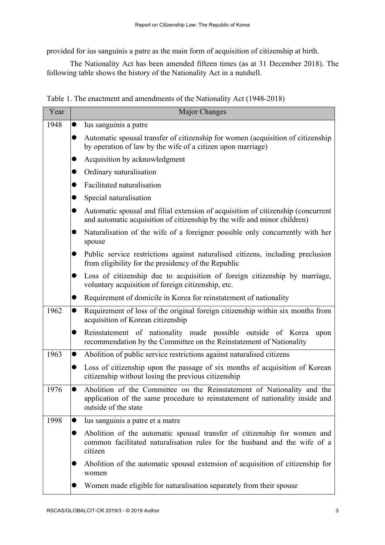provided for ius sanguinis a patre as the main form of acquisition of citizenship at birth.

The Nationality Act has been amended fifteen times (as at 31 December 2018). The following table shows the history of the Nationality Act in a nutshell.

|  | Table 1. The enactment and amendments of the Nationality Act (1948-2018) |  |  |  |
|--|--------------------------------------------------------------------------|--|--|--|
|  |                                                                          |  |  |  |

| Year | <b>Major Changes</b>                                                                                                                                                                        |
|------|---------------------------------------------------------------------------------------------------------------------------------------------------------------------------------------------|
| 1948 | Ius sanguinis a patre<br>$\bullet$                                                                                                                                                          |
|      | Automatic spousal transfer of citizenship for women (acquisition of citizenship<br>$\bullet$<br>by operation of law by the wife of a citizen upon marriage)                                 |
|      | Acquisition by acknowledgment                                                                                                                                                               |
|      | Ordinary naturalisation<br>●                                                                                                                                                                |
|      | Facilitated naturalisation<br>●                                                                                                                                                             |
|      | Special naturalisation                                                                                                                                                                      |
|      | Automatic spousal and filial extension of acquisition of citizenship (concurrent<br>●<br>and automatic acquisition of citizenship by the wife and minor children)                           |
|      | Naturalisation of the wife of a foreigner possible only concurrently with her<br>spouse                                                                                                     |
|      | Public service restrictions against naturalised citizens, including preclusion<br>from eligibility for the presidency of the Republic                                                       |
|      | Loss of citizenship due to acquisition of foreign citizenship by marriage,<br>$\bullet$<br>voluntary acquisition of foreign citizenship, etc.                                               |
|      | Requirement of domicile in Korea for reinstatement of nationality<br>$\bullet$                                                                                                              |
| 1962 | Requirement of loss of the original foreign citizenship within six months from<br>$\bullet$<br>acquisition of Korean citizenship                                                            |
|      | Reinstatement of nationality made possible outside of Korea<br>upon<br>$\bullet$<br>recommendation by the Committee on the Reinstatement of Nationality                                     |
| 1963 | Abolition of public service restrictions against naturalised citizens<br>$\bullet$                                                                                                          |
|      | Loss of citizenship upon the passage of six months of acquisition of Korean<br>$\bullet$<br>citizenship without losing the previous citizenship                                             |
| 1976 | Abolition of the Committee on the Reinstatement of Nationality and the<br>$\bullet$<br>application of the same procedure to reinstatement of nationality inside and<br>outside of the state |
| 1998 | Ius sanguinis a patre et a matre<br>●                                                                                                                                                       |
|      | Abolition of the automatic spousal transfer of citizenship for women and<br>●<br>common facilitated naturalisation rules for the husband and the wife of a<br>citizen                       |
|      | Abolition of the automatic spousal extension of acquisition of citizenship for<br>women                                                                                                     |
|      | Women made eligible for naturalisation separately from their spouse                                                                                                                         |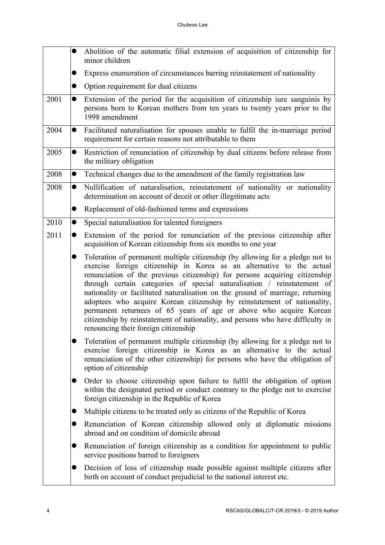|      | $\bullet$ | Abolition of the automatic filial extension of acquisition of citizenship for<br>minor children                                                                                                                                                                                                                                                                                                                                                                                                                                                                                                                                                                                 |
|------|-----------|---------------------------------------------------------------------------------------------------------------------------------------------------------------------------------------------------------------------------------------------------------------------------------------------------------------------------------------------------------------------------------------------------------------------------------------------------------------------------------------------------------------------------------------------------------------------------------------------------------------------------------------------------------------------------------|
|      | $\bullet$ | Express enumeration of circumstances barring reinstatement of nationality                                                                                                                                                                                                                                                                                                                                                                                                                                                                                                                                                                                                       |
|      | $\bullet$ | Option requirement for dual citizens                                                                                                                                                                                                                                                                                                                                                                                                                                                                                                                                                                                                                                            |
| 2001 | $\bullet$ | Extension of the period for the acquisition of citizenship iure sanguinis by<br>persons born to Korean mothers from ten years to twenty years prior to the<br>1998 amendment                                                                                                                                                                                                                                                                                                                                                                                                                                                                                                    |
| 2004 | $\bullet$ | Facilitated naturalisation for spouses unable to fulfil the in-marriage period<br>requirement for certain reasons not attributable to them                                                                                                                                                                                                                                                                                                                                                                                                                                                                                                                                      |
| 2005 | $\bullet$ | Restriction of renunciation of citizenship by dual citizens before release from<br>the military obligation                                                                                                                                                                                                                                                                                                                                                                                                                                                                                                                                                                      |
| 2008 | $\bullet$ | Technical changes due to the amendment of the family registration law                                                                                                                                                                                                                                                                                                                                                                                                                                                                                                                                                                                                           |
| 2008 | $\bullet$ | Nullification of naturalisation, reinstatement of nationality or nationality<br>determination on account of deceit or other illegitimate acts                                                                                                                                                                                                                                                                                                                                                                                                                                                                                                                                   |
|      | ●         | Replacement of old-fashioned terms and expressions                                                                                                                                                                                                                                                                                                                                                                                                                                                                                                                                                                                                                              |
| 2010 | $\bullet$ | Special naturalisation for talented foreigners                                                                                                                                                                                                                                                                                                                                                                                                                                                                                                                                                                                                                                  |
| 2011 | $\bullet$ | Extension of the period for renunciation of the previous citizenship after<br>acquisition of Korean citizenship from six months to one year                                                                                                                                                                                                                                                                                                                                                                                                                                                                                                                                     |
|      | $\bullet$ | Toleration of permanent multiple citizenship (by allowing for a pledge not to<br>exercise foreign citizenship in Korea as an alternative to the actual<br>renunciation of the previous citizenship) for persons acquiring citizenship<br>through certain categories of special naturalisation / reinstatement of<br>nationality or facilitated naturalisation on the ground of marriage, returning<br>adoptees who acquire Korean citizenship by reinstatement of nationality,<br>permanent returnees of 65 years of age or above who acquire Korean<br>citizenship by reinstatement of nationality, and persons who have difficulty in<br>renouncing their foreign citizenship |
|      |           | Toleration of permanent multiple citizenship (by allowing for a pledge not to<br>exercise foreign citizenship in Korea as an alternative to the actual<br>renunciation of the other citizenship) for persons who have the obligation of<br>option of citizenship                                                                                                                                                                                                                                                                                                                                                                                                                |
|      | $\bullet$ | Order to choose citizenship upon failure to fulfil the obligation of option<br>within the designated period or conduct contrary to the pledge not to exercise<br>foreign citizenship in the Republic of Korea                                                                                                                                                                                                                                                                                                                                                                                                                                                                   |
|      | $\bullet$ | Multiple citizens to be treated only as citizens of the Republic of Korea                                                                                                                                                                                                                                                                                                                                                                                                                                                                                                                                                                                                       |
|      | $\bullet$ | Renunciation of Korean citizenship allowed only at diplomatic missions<br>abroad and on condition of domicile abroad                                                                                                                                                                                                                                                                                                                                                                                                                                                                                                                                                            |
|      | ●         | Renunciation of foreign citizenship as a condition for appointment to public<br>service positions barred to foreigners                                                                                                                                                                                                                                                                                                                                                                                                                                                                                                                                                          |
|      | $\bullet$ | Decision of loss of citizenship made possible against multiple citizens after<br>birth on account of conduct prejudicial to the national interest etc.                                                                                                                                                                                                                                                                                                                                                                                                                                                                                                                          |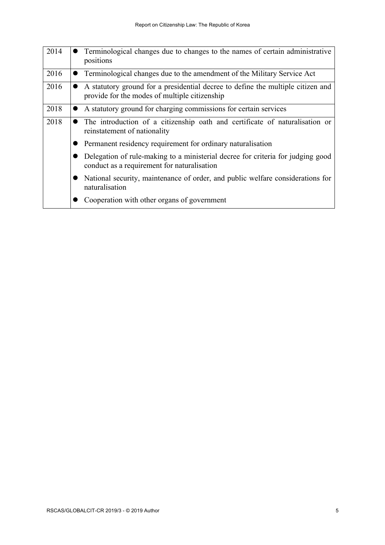| 2014 | Terminological changes due to changes to the names of certain administrative<br>positions                                        |
|------|----------------------------------------------------------------------------------------------------------------------------------|
| 2016 | Terminological changes due to the amendment of the Military Service Act                                                          |
| 2016 | A statutory ground for a presidential decree to define the multiple citizen and<br>provide for the modes of multiple citizenship |
| 2018 | A statutory ground for charging commissions for certain services                                                                 |
| 2018 | The introduction of a citizenship oath and certificate of naturalisation or<br>reinstatement of nationality                      |
|      | Permanent residency requirement for ordinary naturalisation                                                                      |
|      | Delegation of rule-making to a ministerial decree for criteria for judging good<br>conduct as a requirement for naturalisation   |
|      | National security, maintenance of order, and public welfare considerations for<br>naturalisation                                 |
|      | Cooperation with other organs of government                                                                                      |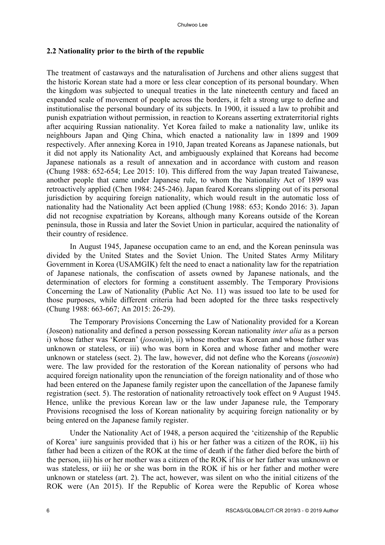# **2.2 Nationality prior to the birth of the republic**

The treatment of castaways and the naturalisation of Jurchens and other aliens suggest that the historic Korean state had a more or less clear conception of its personal boundary. When the kingdom was subjected to unequal treaties in the late nineteenth century and faced an expanded scale of movement of people across the borders, it felt a strong urge to define and institutionalise the personal boundary of its subjects. In 1900, it issued a law to prohibit and punish expatriation without permission, in reaction to Koreans asserting extraterritorial rights after acquiring Russian nationality. Yet Korea failed to make a nationality law, unlike its neighbours Japan and Qing China, which enacted a nationality law in 1899 and 1909 respectively. After annexing Korea in 1910, Japan treated Koreans as Japanese nationals, but it did not apply its Nationality Act, and ambiguously explained that Koreans had become Japanese nationals as a result of annexation and in accordance with custom and reason (Chung 1988: 652-654; Lee 2015: 10). This differed from the way Japan treated Taiwanese, another people that came under Japanese rule, to whom the Nationality Act of 1899 was retroactively applied (Chen 1984: 245-246). Japan feared Koreans slipping out of its personal jurisdiction by acquiring foreign nationality, which would result in the automatic loss of nationality had the Nationality Act been applied (Chung 1988: 653; Kondo 2016: 3). Japan did not recognise expatriation by Koreans, although many Koreans outside of the Korean peninsula, those in Russia and later the Soviet Union in particular, acquired the nationality of their country of residence.

In August 1945, Japanese occupation came to an end, and the Korean peninsula was divided by the United States and the Soviet Union. The United States Army Military Government in Korea (USAMGIK) felt the need to enact a nationality law for the repatriation of Japanese nationals, the confiscation of assets owned by Japanese nationals, and the determination of electors for forming a constituent assembly. The Temporary Provisions Concerning the Law of Nationality (Public Act No. 11) was issued too late to be used for those purposes, while different criteria had been adopted for the three tasks respectively (Chung 1988: 663-667; An 2015: 26-29).

The Temporary Provisions Concerning the Law of Nationality provided for a Korean (Joseon) nationality and defined a person possessing Korean nationality *inter alia* as a person i) whose father was 'Korean' (*joseonin*), ii) whose mother was Korean and whose father was unknown or stateless, or iii) who was born in Korea and whose father and mother were unknown or stateless (sect. 2). The law, however, did not define who the Koreans (*joseonin*) were. The law provided for the restoration of the Korean nationality of persons who had acquired foreign nationality upon the renunciation of the foreign nationality and of those who had been entered on the Japanese family register upon the cancellation of the Japanese family registration (sect. 5). The restoration of nationality retroactively took effect on 9 August 1945. Hence, unlike the previous Korean law or the law under Japanese rule, the Temporary Provisions recognised the loss of Korean nationality by acquiring foreign nationality or by being entered on the Japanese family register.

Under the Nationality Act of 1948, a person acquired the 'citizenship of the Republic of Korea' iure sanguinis provided that i) his or her father was a citizen of the ROK, ii) his father had been a citizen of the ROK at the time of death if the father died before the birth of the person, iii) his or her mother was a citizen of the ROK if his or her father was unknown or was stateless, or iii) he or she was born in the ROK if his or her father and mother were unknown or stateless (art. 2). The act, however, was silent on who the initial citizens of the ROK were (An 2015). If the Republic of Korea were the Republic of Korea whose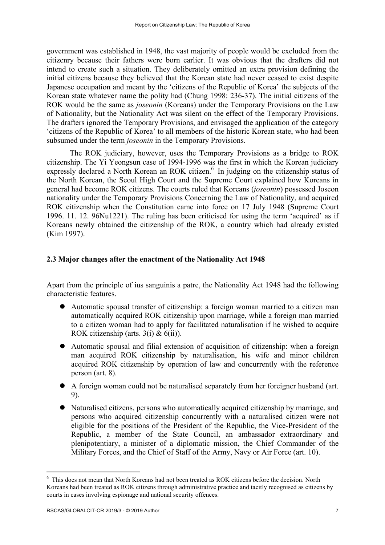government was established in 1948, the vast majority of people would be excluded from the citizenry because their fathers were born earlier. It was obvious that the drafters did not intend to create such a situation. They deliberately omitted an extra provision defining the initial citizens because they believed that the Korean state had never ceased to exist despite Japanese occupation and meant by the 'citizens of the Republic of Korea' the subjects of the Korean state whatever name the polity had (Chung 1998: 236-37). The initial citizens of the ROK would be the same as *joseonin* (Koreans) under the Temporary Provisions on the Law of Nationality, but the Nationality Act was silent on the effect of the Temporary Provisions. The drafters ignored the Temporary Provisions, and envisaged the application of the category 'citizens of the Republic of Korea' to all members of the historic Korean state, who had been subsumed under the term *joseonin* in the Temporary Provisions.

The ROK judiciary, however, uses the Temporary Provisions as a bridge to ROK citizenship. The Yi Yeongsun case of 1994-1996 was the first in which the Korean judiciary expressly declared a North Korean an ROK citizen.<sup>6</sup> In judging on the citizenship status of the North Korean, the Seoul High Court and the Supreme Court explained how Koreans in general had become ROK citizens. The courts ruled that Koreans (*joseonin*) possessed Joseon nationality under the Temporary Provisions Concerning the Law of Nationality, and acquired ROK citizenship when the Constitution came into force on 17 July 1948 (Supreme Court 1996. 11. 12. 96Nu1221). The ruling has been criticised for using the term 'acquired' as if Koreans newly obtained the citizenship of the ROK, a country which had already existed (Kim 1997).

## **2.3 Major changes after the enactment of the Nationality Act 1948**

Apart from the principle of ius sanguinis a patre, the Nationality Act 1948 had the following characteristic features.

- l Automatic spousal transfer of citizenship: a foreign woman married to a citizen man automatically acquired ROK citizenship upon marriage, while a foreign man married to a citizen woman had to apply for facilitated naturalisation if he wished to acquire ROK citizenship (arts.  $3(i)$  &  $6(ii)$ ).
- $\bullet$  Automatic spousal and filial extension of acquisition of citizenship: when a foreign man acquired ROK citizenship by naturalisation, his wife and minor children acquired ROK citizenship by operation of law and concurrently with the reference person (art. 8).
- l A foreign woman could not be naturalised separately from her foreigner husband (art. 9).
- Naturalised citizens, persons who automatically acquired citizenship by marriage, and persons who acquired citizenship concurrently with a naturalised citizen were not eligible for the positions of the President of the Republic, the Vice-President of the Republic, a member of the State Council, an ambassador extraordinary and plenipotentiary, a minister of a diplomatic mission, the Chief Commander of the Military Forces, and the Chief of Staff of the Army, Navy or Air Force (art. 10).

<sup>6</sup> This does not mean that North Koreans had not been treated as ROK citizens before the decision. North Koreans had been treated as ROK citizens through administrative practice and tacitly recognised as citizens by courts in cases involving espionage and national security offences.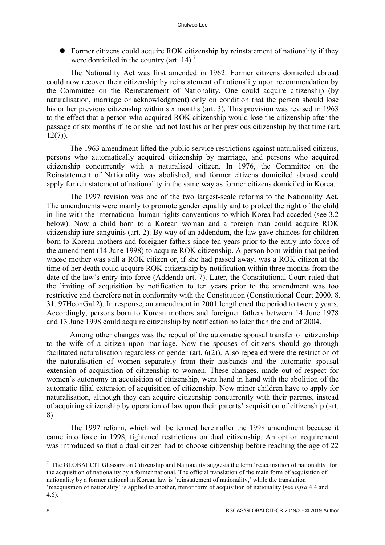• Former citizens could acquire ROK citizenship by reinstatement of nationality if they were domiciled in the country (art. 14).<sup>7</sup>

The Nationality Act was first amended in 1962. Former citizens domiciled abroad could now recover their citizenship by reinstatement of nationality upon recommendation by the Committee on the Reinstatement of Nationality. One could acquire citizenship (by naturalisation, marriage or acknowledgment) only on condition that the person should lose his or her previous citizenship within six months (art. 3). This provision was revised in 1963 to the effect that a person who acquired ROK citizenship would lose the citizenship after the passage of six months if he or she had not lost his or her previous citizenship by that time (art.  $12(7)$ ).

The 1963 amendment lifted the public service restrictions against naturalised citizens, persons who automatically acquired citizenship by marriage, and persons who acquired citizenship concurrently with a naturalised citizen. In 1976, the Committee on the Reinstatement of Nationality was abolished, and former citizens domiciled abroad could apply for reinstatement of nationality in the same way as former citizens domiciled in Korea.

The 1997 revision was one of the two largest-scale reforms to the Nationality Act. The amendments were mainly to promote gender equality and to protect the right of the child in line with the international human rights conventions to which Korea had acceded (see 3.2 below). Now a child born to a Korean woman and a foreign man could acquire ROK citizenship iure sanguinis (art. 2). By way of an addendum, the law gave chances for children born to Korean mothers and foreigner fathers since ten years prior to the entry into force of the amendment (14 June 1998) to acquire ROK citizenship. A person born within that period whose mother was still a ROK citizen or, if she had passed away, was a ROK citizen at the time of her death could acquire ROK citizenship by notification within three months from the date of the law's entry into force (Addenda art. 7). Later, the Constitutional Court ruled that the limiting of acquisition by notification to ten years prior to the amendment was too restrictive and therefore not in conformity with the Constitution (Constitutional Court 2000. 8. 31. 97HeonGa12). In response, an amendment in 2001 lengthened the period to twenty years. Accordingly, persons born to Korean mothers and foreigner fathers between 14 June 1978 and 13 June 1998 could acquire citizenship by notification no later than the end of 2004.

Among other changes was the repeal of the automatic spousal transfer of citizenship to the wife of a citizen upon marriage. Now the spouses of citizens should go through facilitated naturalisation regardless of gender (art. 6(2)). Also repealed were the restriction of the naturalisation of women separately from their husbands and the automatic spousal extension of acquisition of citizenship to women. These changes, made out of respect for women's autonomy in acquisition of citizenship, went hand in hand with the abolition of the automatic filial extension of acquisition of citizenship. Now minor children have to apply for naturalisation, although they can acquire citizenship concurrently with their parents, instead of acquiring citizenship by operation of law upon their parents' acquisition of citizenship (art. 8).

The 1997 reform, which will be termed hereinafter the 1998 amendment because it came into force in 1998, tightened restrictions on dual citizenship. An option requirement was introduced so that a dual citizen had to choose citizenship before reaching the age of 22

<sup>&</sup>lt;sup>7</sup> The GLOBALCIT Glossary on Citizenship and Nationality suggests the term 'reacquisition of nationality' for the acquisition of nationality by a former national. The official translation of the main form of acquisition of nationality by a former national in Korean law is 'reinstatement of nationality,' while the translation 'reacquisition of nationality' is applied to another, minor form of acquisition of nationality (see *infra* 4.4 and 4.6).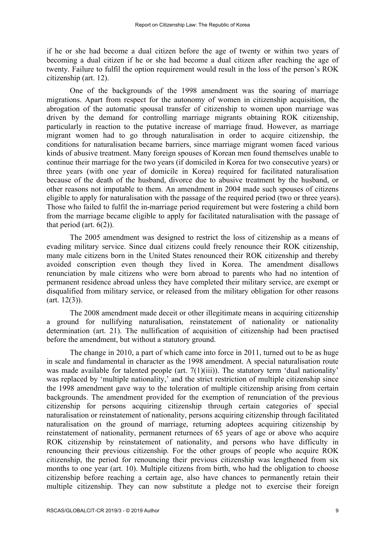if he or she had become a dual citizen before the age of twenty or within two years of becoming a dual citizen if he or she had become a dual citizen after reaching the age of twenty. Failure to fulfil the option requirement would result in the loss of the person's ROK citizenship (art. 12).

One of the backgrounds of the 1998 amendment was the soaring of marriage migrations. Apart from respect for the autonomy of women in citizenship acquisition, the abrogation of the automatic spousal transfer of citizenship to women upon marriage was driven by the demand for controlling marriage migrants obtaining ROK citizenship, particularly in reaction to the putative increase of marriage fraud. However, as marriage migrant women had to go through naturalisation in order to acquire citizenship, the conditions for naturalisation became barriers, since marriage migrant women faced various kinds of abusive treatment. Many foreign spouses of Korean men found themselves unable to continue their marriage for the two years (if domiciled in Korea for two consecutive years) or three years (with one year of domicile in Korea) required for facilitated naturalisation because of the death of the husband, divorce due to abusive treatment by the husband, or other reasons not imputable to them. An amendment in 2004 made such spouses of citizens eligible to apply for naturalisation with the passage of the required period (two or three years). Those who failed to fulfil the in-marriage period requirement but were fostering a child born from the marriage became eligible to apply for facilitated naturalisation with the passage of that period (art. 6(2)).

The 2005 amendment was designed to restrict the loss of citizenship as a means of evading military service. Since dual citizens could freely renounce their ROK citizenship, many male citizens born in the United States renounced their ROK citizenship and thereby avoided conscription even though they lived in Korea. The amendment disallows renunciation by male citizens who were born abroad to parents who had no intention of permanent residence abroad unless they have completed their military service, are exempt or disqualified from military service, or released from the military obligation for other reasons  $(art. 12(3)).$ 

The 2008 amendment made deceit or other illegitimate means in acquiring citizenship a ground for nullifying naturalisation, reinstatement of nationality or nationality determination (art. 21). The nullification of acquisition of citizenship had been practised before the amendment, but without a statutory ground.

The change in 2010, a part of which came into force in 2011, turned out to be as huge in scale and fundamental in character as the 1998 amendment. A special naturalisation route was made available for talented people (art.  $7(1)(iii)$ ). The statutory term 'dual nationality' was replaced by 'multiple nationality,' and the strict restriction of multiple citizenship since the 1998 amendment gave way to the toleration of multiple citizenship arising from certain backgrounds. The amendment provided for the exemption of renunciation of the previous citizenship for persons acquiring citizenship through certain categories of special naturalisation or reinstatement of nationality, persons acquiring citizenship through facilitated naturalisation on the ground of marriage, returning adoptees acquiring citizenship by reinstatement of nationality, permanent returnees of 65 years of age or above who acquire ROK citizenship by reinstatement of nationality, and persons who have difficulty in renouncing their previous citizenship. For the other groups of people who acquire ROK citizenship, the period for renouncing their previous citizenship was lengthened from six months to one year (art. 10). Multiple citizens from birth, who had the obligation to choose citizenship before reaching a certain age, also have chances to permanently retain their multiple citizenship. They can now substitute a pledge not to exercise their foreign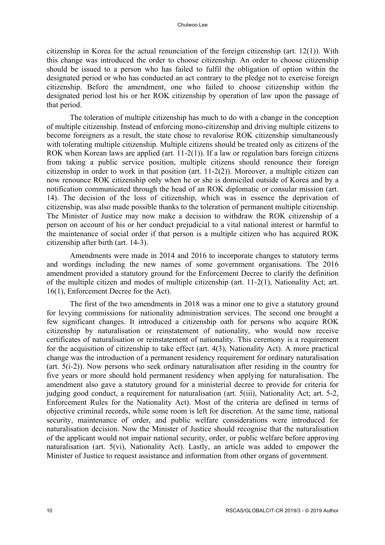citizenship in Korea for the actual renunciation of the foreign citizenship (art. 12(1)). With this change was introduced the order to choose citizenship. An order to choose citizenship should be issued to a person who has failed to fulfil the obligation of option within the designated period or who has conducted an act contrary to the pledge not to exercise foreign citizenship. Before the amendment, one who failed to choose citizenship within the designated period lost his or her ROK citizenship by operation of law upon the passage of that period.

The toleration of multiple citizenship has much to do with a change in the conception of multiple citizenship. Instead of enforcing mono-citizenship and driving multiple citizens to become foreigners as a result, the state chose to revalorise ROK citizenship simultaneously with tolerating multiple citizenship. Multiple citizens should be treated only as citizens of the ROK when Korean laws are applied (art. 11-2(1)). If a law or regulation bars foreign citizens from taking a public service position, multiple citizens should renounce their foreign citizenship in order to work in that position (art. 11-2(2)). Moreover, a multiple citizen can now renounce ROK citizenship only when he or she is domiciled outside of Korea and by a notification communicated through the head of an ROK diplomatic or consular mission (art. 14). The decision of the loss of citizenship, which was in essence the deprivation of citizenship, was also made possible thanks to the toleration of permanent multiple citizenship. The Minister of Justice may now make a decision to withdraw the ROK citizenship of a person on account of his or her conduct prejudicial to a vital national interest or harmful to the maintenance of social order if that person is a multiple citizen who has acquired ROK citizenship after birth (art. 14-3).

Amendments were made in 2014 and 2016 to incorporate changes to statutory terms and wordings including the new names of some government organisations. The 2016 amendment provided a statutory ground for the Enforcement Decree to clarify the definition of the multiple citizen and modes of multiple citizenship (art. 11-2(1), Nationality Act; art. 16(1), Enforcement Decree for the Act).

The first of the two amendments in 2018 was a minor one to give a statutory ground for levying commissions for nationality administration services. The second one brought a few significant changes. It introduced a citizenship oath for persons who acquire ROK citizenship by naturalisation or reinstatement of nationality, who would now receive certificates of naturalisation or reinstatement of nationality. This ceremony is a requirement for the acquisition of citizenship to take effect (art. 4(3), Nationality Act). A more practical change was the introduction of a permanent residency requirement for ordinary naturalisation (art. 5(i-2)). Now persons who seek ordinary naturalisation after residing in the country for five years or more should hold permanent residency when applying for naturalisation. The amendment also gave a statutory ground for a ministerial decree to provide for criteria for judging good conduct, a requirement for naturalisation (art. 5(iii), Nationality Act; art. 5-2, Enforcement Rules for the Nationality Act). Most of the criteria are defined in terms of objective criminal records, while some room is left for discretion. At the same time, national security, maintenance of order, and public welfare considerations were introduced for naturalisation decision. Now the Minister of Justice should recognise that the naturalisation of the applicant would not impair national security, order, or public welfare before approving naturalisation (art. 5(vi), Nationality Act). Lastly, an article was added to empower the Minister of Justice to request assistance and information from other organs of government.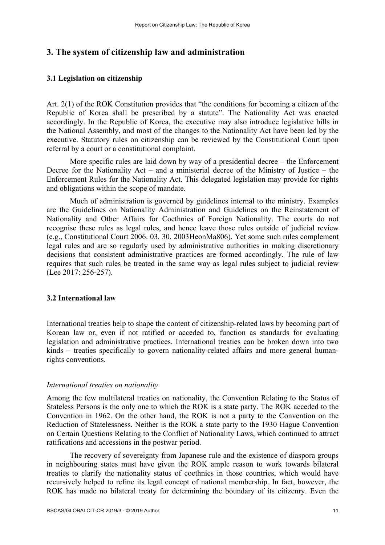# **3. The system of citizenship law and administration**

## **3.1 Legislation on citizenship**

Art. 2(1) of the ROK Constitution provides that "the conditions for becoming a citizen of the Republic of Korea shall be prescribed by a statute". The Nationality Act was enacted accordingly. In the Republic of Korea, the executive may also introduce legislative bills in the National Assembly, and most of the changes to the Nationality Act have been led by the executive. Statutory rules on citizenship can be reviewed by the Constitutional Court upon referral by a court or a constitutional complaint.

More specific rules are laid down by way of a presidential decree – the Enforcement Decree for the Nationality Act – and a ministerial decree of the Ministry of Justice – the Enforcement Rules for the Nationality Act. This delegated legislation may provide for rights and obligations within the scope of mandate.

Much of administration is governed by guidelines internal to the ministry. Examples are the Guidelines on Nationality Administration and Guidelines on the Reinstatement of Nationality and Other Affairs for Coethnics of Foreign Nationality. The courts do not recognise these rules as legal rules, and hence leave those rules outside of judicial review (e.g., Constitutional Court 2006. 03. 30. 2003HeonMa806). Yet some such rules complement legal rules and are so regularly used by administrative authorities in making discretionary decisions that consistent administrative practices are formed accordingly. The rule of law requires that such rules be treated in the same way as legal rules subject to judicial review (Lee 2017: 256-257).

### **3.2 International law**

International treaties help to shape the content of citizenship-related laws by becoming part of Korean law or, even if not ratified or acceded to, function as standards for evaluating legislation and administrative practices. International treaties can be broken down into two kinds – treaties specifically to govern nationality-related affairs and more general humanrights conventions.

### *International treaties on nationality*

Among the few multilateral treaties on nationality, the Convention Relating to the Status of Stateless Persons is the only one to which the ROK is a state party. The ROK acceded to the Convention in 1962. On the other hand, the ROK is not a party to the Convention on the Reduction of Statelessness. Neither is the ROK a state party to the 1930 Hague Convention on Certain Questions Relating to the Conflict of Nationality Laws, which continued to attract ratifications and accessions in the postwar period.

The recovery of sovereignty from Japanese rule and the existence of diaspora groups in neighbouring states must have given the ROK ample reason to work towards bilateral treaties to clarify the nationality status of coethnics in those countries, which would have recursively helped to refine its legal concept of national membership. In fact, however, the ROK has made no bilateral treaty for determining the boundary of its citizenry. Even the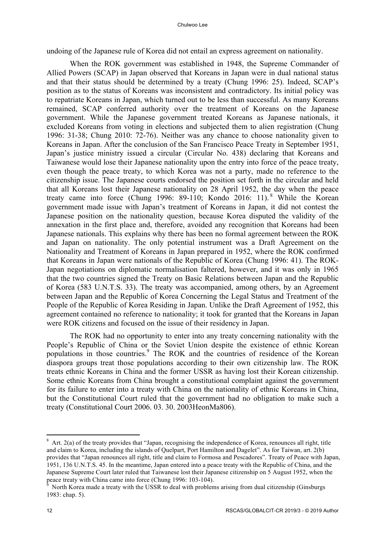undoing of the Japanese rule of Korea did not entail an express agreement on nationality.

When the ROK government was established in 1948, the Supreme Commander of Allied Powers (SCAP) in Japan observed that Koreans in Japan were in dual national status and that their status should be determined by a treaty (Chung 1996: 25). Indeed, SCAP's position as to the status of Koreans was inconsistent and contradictory. Its initial policy was to repatriate Koreans in Japan, which turned out to be less than successful. As many Koreans remained, SCAP conferred authority over the treatment of Koreans on the Japanese government. While the Japanese government treated Koreans as Japanese nationals, it excluded Koreans from voting in elections and subjected them to alien registration (Chung 1996: 31-38; Chung 2010: 72-76). Neither was any chance to choose nationality given to Koreans in Japan. After the conclusion of the San Francisco Peace Treaty in September 1951, Japan's justice ministry issued a circular (Circular No. 438) declaring that Koreans and Taiwanese would lose their Japanese nationality upon the entry into force of the peace treaty, even though the peace treaty, to which Korea was not a party, made no reference to the citizenship issue. The Japanese courts endorsed the position set forth in the circular and held that all Koreans lost their Japanese nationality on 28 April 1952, the day when the peace treaty came into force (Chung 1996: 89-110; Kondo 2016: 11).<sup>8</sup> While the Korean government made issue with Japan's treatment of Koreans in Japan, it did not contest the Japanese position on the nationality question, because Korea disputed the validity of the annexation in the first place and, therefore, avoided any recognition that Koreans had been Japanese nationals. This explains why there has been no formal agreement between the ROK and Japan on nationality. The only potential instrument was a Draft Agreement on the Nationality and Treatment of Koreans in Japan prepared in 1952, where the ROK confirmed that Koreans in Japan were nationals of the Republic of Korea (Chung 1996: 41). The ROK-Japan negotiations on diplomatic normalisation faltered, however, and it was only in 1965 that the two countries signed the Treaty on Basic Relations between Japan and the Republic of Korea (583 U.N.T.S. 33). The treaty was accompanied, among others, by an Agreement between Japan and the Republic of Korea Concerning the Legal Status and Treatment of the People of the Republic of Korea Residing in Japan. Unlike the Draft Agreement of 1952, this agreement contained no reference to nationality; it took for granted that the Koreans in Japan were ROK citizens and focused on the issue of their residency in Japan.

The ROK had no opportunity to enter into any treaty concerning nationality with the People's Republic of China or the Soviet Union despite the existence of ethnic Korean populations in those countries.<sup>9</sup> The ROK and the countries of residence of the Korean diaspora groups treat those populations according to their own citizenship law. The ROK treats ethnic Koreans in China and the former USSR as having lost their Korean citizenship. Some ethnic Koreans from China brought a constitutional complaint against the government for its failure to enter into a treaty with China on the nationality of ethnic Koreans in China, but the Constitutional Court ruled that the government had no obligation to make such a treaty (Constitutional Court 2006. 03. 30. 2003HeonMa806).

 $8$  Art. 2(a) of the treaty provides that "Japan, recognising the independence of Korea, renounces all right, title and claim to Korea, including the islands of Quelpart, Port Hamilton and Dagelet". As for Taiwan, art. 2(b) provides that "Japan renounces all right, title and claim to Formosa and Pescadores". Treaty of Peace with Japan, 1951, 136 U.N.T.S. 45. In the meantime, Japan entered into a peace treaty with the Republic of China, and the Japanese Supreme Court later ruled that Taiwanese lost their Japanese citizenship on 5 August 1952, when the peace treaty with China came into force (Chung 1996: 103-104).

North Korea made a treaty with the USSR to deal with problems arising from dual citizenship (Ginsburgs). 1983: chap. 5).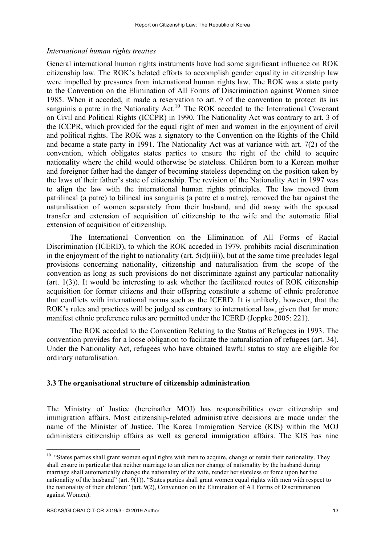### *International human rights treaties*

General international human rights instruments have had some significant influence on ROK citizenship law. The ROK's belated efforts to accomplish gender equality in citizenship law were impelled by pressures from international human rights law. The ROK was a state party to the Convention on the Elimination of All Forms of Discrimination against Women since 1985. When it acceded, it made a reservation to art. 9 of the convention to protect its ius sanguinis a patre in the Nationality Act.<sup>10</sup> The ROK acceded to the International Covenant on Civil and Political Rights (ICCPR) in 1990. The Nationality Act was contrary to art. 3 of the ICCPR, which provided for the equal right of men and women in the enjoyment of civil and political rights. The ROK was a signatory to the Convention on the Rights of the Child and became a state party in 1991. The Nationality Act was at variance with art. 7(2) of the convention, which obligates states parties to ensure the right of the child to acquire nationality where the child would otherwise be stateless. Children born to a Korean mother and foreigner father had the danger of becoming stateless depending on the position taken by the laws of their father's state of citizenship. The revision of the Nationality Act in 1997 was to align the law with the international human rights principles. The law moved from patrilineal (a patre) to bilineal ius sanguinis (a patre et a matre), removed the bar against the naturalisation of women separately from their husband, and did away with the spousal transfer and extension of acquisition of citizenship to the wife and the automatic filial extension of acquisition of citizenship.

The International Convention on the Elimination of All Forms of Racial Discrimination (ICERD), to which the ROK acceded in 1979, prohibits racial discrimination in the enjoyment of the right to nationality (art.  $5(d)(iii)$ ), but at the same time precludes legal provisions concerning nationality, citizenship and naturalisation from the scope of the convention as long as such provisions do not discriminate against any particular nationality (art. 1(3)). It would be interesting to ask whether the facilitated routes of ROK citizenship acquisition for former citizens and their offspring constitute a scheme of ethnic preference that conflicts with international norms such as the ICERD. It is unlikely, however, that the ROK's rules and practices will be judged as contrary to international law, given that far more manifest ethnic preference rules are permitted under the ICERD (Joppke 2005: 221).

The ROK acceded to the Convention Relating to the Status of Refugees in 1993. The convention provides for a loose obligation to facilitate the naturalisation of refugees (art. 34). Under the Nationality Act, refugees who have obtained lawful status to stay are eligible for ordinary naturalisation.

### **3.3 The organisational structure of citizenship administration**

The Ministry of Justice (hereinafter MOJ) has responsibilities over citizenship and immigration affairs. Most citizenship-related administrative decisions are made under the name of the Minister of Justice. The Korea Immigration Service (KIS) within the MOJ administers citizenship affairs as well as general immigration affairs. The KIS has nine

l

<sup>&</sup>lt;sup>10</sup> "States parties shall grant women equal rights with men to acquire, change or retain their nationality. They shall ensure in particular that neither marriage to an alien nor change of nationality by the husband during marriage shall automatically change the nationality of the wife, render her stateless or force upon her the nationality of the husband" (art. 9(1)). "States parties shall grant women equal rights with men with respect to the nationality of their children" (art. 9(2), Convention on the Elimination of All Forms of Discrimination against Women).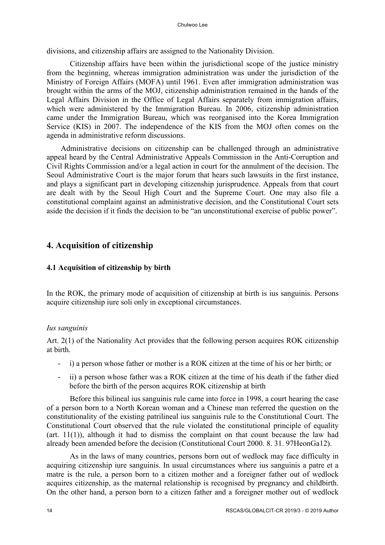divisions, and citizenship affairs are assigned to the Nationality Division.

Citizenship affairs have been within the jurisdictional scope of the justice ministry from the beginning, whereas immigration administration was under the jurisdiction of the Ministry of Foreign Affairs (MOFA) until 1961. Even after immigration administration was brought within the arms of the MOJ, citizenship administration remained in the hands of the Legal Affairs Division in the Office of Legal Affairs separately from immigration affairs, which were administered by the Immigration Bureau. In 2006, citizenship administration came under the Immigration Bureau, which was reorganised into the Korea Immigration Service (KIS) in 2007. The independence of the KIS from the MOJ often comes on the agenda in administrative reform discussions.

Administrative decisions on citizenship can be challenged through an administrative appeal heard by the Central Administrative Appeals Commission in the Anti-Corruption and Civil Rights Commission and/or a legal action in court for the annulment of the decision. The Seoul Administrative Court is the major forum that hears such lawsuits in the first instance, and plays a significant part in developing citizenship jurisprudence. Appeals from that court are dealt with by the Seoul High Court and the Supreme Court. One may also file a constitutional complaint against an administrative decision, and the Constitutional Court sets aside the decision if it finds the decision to be "an unconstitutional exercise of public power".

# **4. Acquisition of citizenship**

# **4.1 Acquisition of citizenship by birth**

In the ROK, the primary mode of acquisition of citizenship at birth is ius sanguinis. Persons acquire citizenship iure soli only in exceptional circumstances.

# *Ius sanguinis*

Art. 2(1) of the Nationality Act provides that the following person acquires ROK citizenship at birth.

- i) a person whose father or mother is a ROK citizen at the time of his or her birth; or
- ii) a person whose father was a ROK citizen at the time of his death if the father died before the birth of the person acquires ROK citizenship at birth

Before this bilineal ius sanguinis rule came into force in 1998, a court hearing the case of a person born to a North Korean woman and a Chinese man referred the question on the constitutionality of the existing patrilineal ius sanguinis rule to the Constitutional Court. The Constitutional Court observed that the rule violated the constitutional principle of equality  $(\text{art. } 11(1))$ , although it had to dismiss the complaint on that count because the law had already been amended before the decision (Constitutional Court 2000. 8. 31. 97HeonGa12).

As in the laws of many countries, persons born out of wedlock may face difficulty in acquiring citizenship iure sanguinis. In usual circumstances where ius sanguinis a patre et a matre is the rule, a person born to a citizen mother and a foreigner father out of wedlock acquires citizenship, as the maternal relationship is recognised by pregnancy and childbirth. On the other hand, a person born to a citizen father and a foreigner mother out of wedlock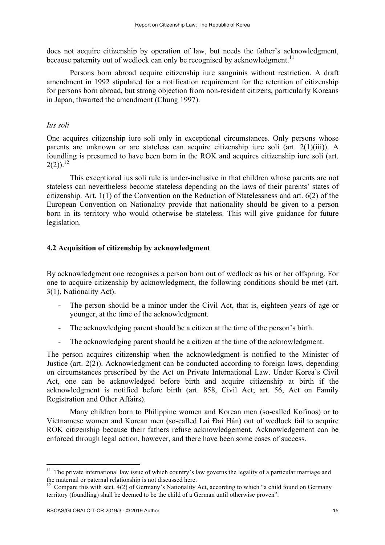does not acquire citizenship by operation of law, but needs the father's acknowledgment, because paternity out of wedlock can only be recognised by acknowledgment.<sup>11</sup>

Persons born abroad acquire citizenship iure sanguinis without restriction. A draft amendment in 1992 stipulated for a notification requirement for the retention of citizenship for persons born abroad, but strong objection from non-resident citizens, particularly Koreans in Japan, thwarted the amendment (Chung 1997).

### *Ius soli*

One acquires citizenship iure soli only in exceptional circumstances. Only persons whose parents are unknown or are stateless can acquire citizenship iure soli (art. 2(1)(iii)). A foundling is presumed to have been born in the ROK and acquires citizenship iure soli (art.  $2(2)$ ).<sup>12</sup>

This exceptional ius soli rule is under-inclusive in that children whose parents are not stateless can nevertheless become stateless depending on the laws of their parents' states of citizenship. Art. 1(1) of the Convention on the Reduction of Statelessness and art. 6(2) of the European Convention on Nationality provide that nationality should be given to a person born in its territory who would otherwise be stateless. This will give guidance for future legislation.

## **4.2 Acquisition of citizenship by acknowledgment**

By acknowledgment one recognises a person born out of wedlock as his or her offspring. For one to acquire citizenship by acknowledgment, the following conditions should be met (art. 3(1), Nationality Act).

- The person should be a minor under the Civil Act, that is, eighteen years of age or younger, at the time of the acknowledgment.
- The acknowledging parent should be a citizen at the time of the person's birth.
- The acknowledging parent should be a citizen at the time of the acknowledgment.

The person acquires citizenship when the acknowledgment is notified to the Minister of Justice (art. 2(2)). Acknowledgment can be conducted according to foreign laws, depending on circumstances prescribed by the Act on Private International Law. Under Korea's Civil Act, one can be acknowledged before birth and acquire citizenship at birth if the acknowledgment is notified before birth (art. 858, Civil Act; art. 56, Act on Family Registration and Other Affairs).

Many children born to Philippine women and Korean men (so-called Kofinos) or to Vietnamese women and Korean men (so-called Lai Đai Hàn) out of wedlock fail to acquire ROK citizenship because their fathers refuse acknowledgement. Acknowledgement can be enforced through legal action, however, and there have been some cases of success.

 $11$  The private international law issue of which country's law governs the legality of a particular marriage and the maternal or paternal relationship is not discussed here.<br><sup>12</sup> Compare this with sect. 4(2) of Germany's Nationality Act, according to which "a child found on Germany

territory (foundling) shall be deemed to be the child of a German until otherwise proven".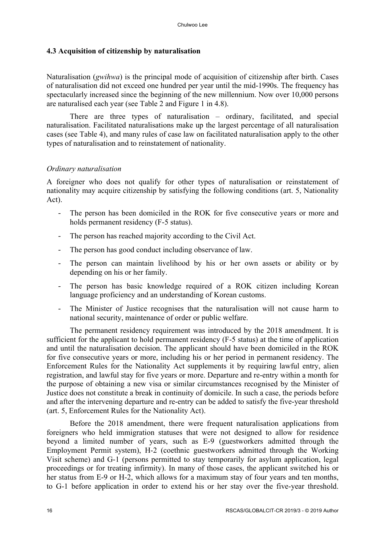### **4.3 Acquisition of citizenship by naturalisation**

Naturalisation (*gwihwa*) is the principal mode of acquisition of citizenship after birth. Cases of naturalisation did not exceed one hundred per year until the mid-1990s. The frequency has spectacularly increased since the beginning of the new millennium. Now over 10,000 persons are naturalised each year (see Table 2 and Figure 1 in 4.8).

There are three types of naturalisation – ordinary, facilitated, and special naturalisation. Facilitated naturalisations make up the largest percentage of all naturalisation cases (see Table 4), and many rules of case law on facilitated naturalisation apply to the other types of naturalisation and to reinstatement of nationality.

### *Ordinary naturalisation*

A foreigner who does not qualify for other types of naturalisation or reinstatement of nationality may acquire citizenship by satisfying the following conditions (art. 5, Nationality Act).

- The person has been domiciled in the ROK for five consecutive years or more and holds permanent residency (F-5 status).
- The person has reached majority according to the Civil Act.
- The person has good conduct including observance of law.
- The person can maintain livelihood by his or her own assets or ability or by depending on his or her family.
- The person has basic knowledge required of a ROK citizen including Korean language proficiency and an understanding of Korean customs.
- The Minister of Justice recognises that the naturalisation will not cause harm to national security, maintenance of order or public welfare.

The permanent residency requirement was introduced by the 2018 amendment. It is sufficient for the applicant to hold permanent residency (F-5 status) at the time of application and until the naturalisation decision. The applicant should have been domiciled in the ROK for five consecutive years or more, including his or her period in permanent residency. The Enforcement Rules for the Nationality Act supplements it by requiring lawful entry, alien registration, and lawful stay for five years or more. Departure and re-entry within a month for the purpose of obtaining a new visa or similar circumstances recognised by the Minister of Justice does not constitute a break in continuity of domicile. In such a case, the periods before and after the intervening departure and re-entry can be added to satisfy the five-year threshold (art. 5, Enforcement Rules for the Nationality Act).

Before the 2018 amendment, there were frequent naturalisation applications from foreigners who held immigration statuses that were not designed to allow for residence beyond a limited number of years, such as E-9 (guestworkers admitted through the Employment Permit system), H-2 (coethnic guestworkers admitted through the Working Visit scheme) and G-1 (persons permitted to stay temporarily for asylum application, legal proceedings or for treating infirmity). In many of those cases, the applicant switched his or her status from E-9 or H-2, which allows for a maximum stay of four years and ten months, to G-1 before application in order to extend his or her stay over the five-year threshold.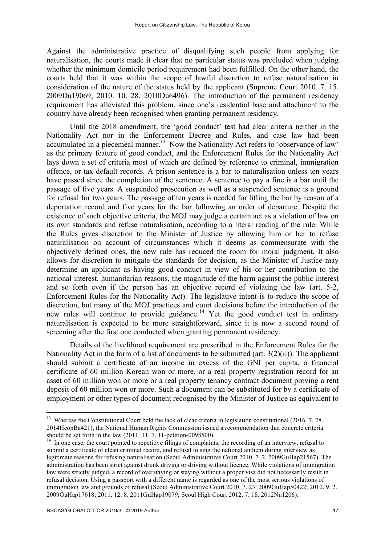Against the administrative practice of disqualifying such people from applying for naturalisation, the courts made it clear that no particular status was precluded when judging whether the minimum domicile period requirement had been fulfilled. On the other hand, the courts held that it was within the scope of lawful discretion to refuse naturalisation in consideration of the nature of the status held by the applicant (Supreme Court 2010. 7. 15. 2009Du19069; 2010. 10. 28. 2010Du6496). The introduction of the permanent residency requirement has alleviated this problem, since one's residential base and attachment to the country have already been recognised when granting permanent residency.

Until the 2018 amendment, the 'good conduct' test had clear criteria neither in the Nationality Act nor in the Enforcement Decree and Rules, and case law had been accumulated in a piecemeal manner.<sup>13</sup> Now the Nationality Act refers to 'observance of law' as the primary feature of good conduct, and the Enforcement Rules for the Nationality Act lays down a set of criteria most of which are defined by reference to criminal, immigration offence, or tax default records. A prison sentence is a bar to naturalisation unless ten years have passed since the completion of the sentence. A sentence to pay a fine is a bar until the passage of five years. A suspended prosecution as well as a suspended sentence is a ground for refusal for two years. The passage of ten years is needed for lifting the bar by reason of a deportation record and five years for the bar following an order of departure. Despite the existence of such objective criteria, the MOJ may judge a certain act as a violation of law on its own standards and refuse naturalisation, according to a literal reading of the rule. While the Rules gives discretion to the Minister of Justice by allowing him or her to refuse naturalisation on account of circumstances which it deems as commensurate with the objectively defined ones, the new rule has reduced the room for moral judgment. It also allows for discretion to mitigate the standards for decision, as the Minister of Justice may determine an applicant as having good conduct in view of his or her contribution to the national interest, humanitarian reasons, the magnitude of the harm against the public interest and so forth even if the person has an objective record of violating the law (art. 5-2, Enforcement Rules for the Nationality Act). The legislative intent is to reduce the scope of discretion, but many of the MOJ practices and court decisions before the introduction of the new rules will continue to provide guidance.<sup>14</sup> Yet the good conduct test in ordinary naturalisation is expected to be more straightforward, since it is now a second round of screening after the first one conducted when granting permanent residency.

Details of the livelihood requirement are prescribed in the Enforcement Rules for the Nationality Act in the form of a list of documents to be submitted (art.  $3(2)(ii)$ ). The applicant should submit a certificate of an income in excess of the GNI per capita, a financial certificate of 60 million Korean won or more, or a real property registration record for an asset of 60 million won or more or a real property tenancy contract document proving a rent deposit of 60 million won or more. Such a document can be substituted for by a certificate of employment or other types of document recognised by the Minister of Justice as equivalent to

<sup>&</sup>lt;sup>13</sup> Whereas the Constitutional Court held the lack of clear criteria in legislation constitutional (2016. 7. 28. 2014HeonBa421), the National Human Rights Commission issued a recommendation that concrete criteria

 $14$  In one case, the court pointed to repetitive filings of complaints, the recording of an interview, refusal to submit a certificate of clean criminal record, and refusal to sing the national anthem during interview as legitimate reasons for refusing naturalisation (Seoul Administrative Court 2010. 7. 2. 2009GuHap21567). The administration has been strict against drunk driving or driving without licence. While violations of immigration law were strictly judged, a record of overstaying or staying without a proper visa did not necessarily result in refusal decision. Using a passport with a different name is regarded as one of the most serious violations of immigration law and grounds of refusal (Seoul Administrative Court 2010. 7. 23. 2009GuHap50422; 2010. 9. 2. 2009GuHap17618; 2011. 12. 8. 2011GuHap19079; Seoul High Court 2012. 7. 18. 2012Nu1206).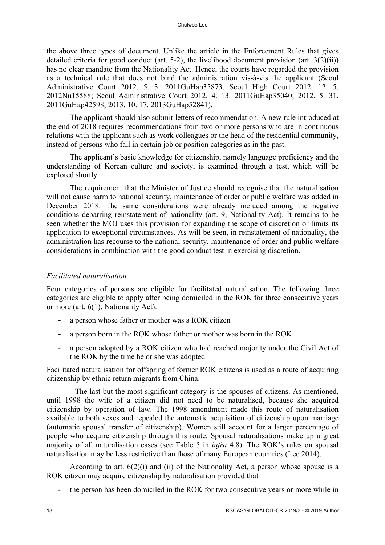the above three types of document. Unlike the article in the Enforcement Rules that gives detailed criteria for good conduct (art. 5-2), the livelihood document provision (art.  $3(2)(ii)$ ) has no clear mandate from the Nationality Act. Hence, the courts have regarded the provision as a technical rule that does not bind the administration vis-à-vis the applicant (Seoul Administrative Court 2012. 5. 3. 2011GuHap35873, Seoul High Court 2012. 12. 5. 2012Nu15588; Seoul Administrative Court 2012. 4. 13. 2011GuHap35040; 2012. 5. 31. 2011GuHap42598; 2013. 10. 17. 2013GuHap52841).

The applicant should also submit letters of recommendation. A new rule introduced at the end of 2018 requires recommendations from two or more persons who are in continuous relations with the applicant such as work colleagues or the head of the residential community, instead of persons who fall in certain job or position categories as in the past.

The applicant's basic knowledge for citizenship, namely language proficiency and the understanding of Korean culture and society, is examined through a test, which will be explored shortly.

The requirement that the Minister of Justice should recognise that the naturalisation will not cause harm to national security, maintenance of order or public welfare was added in December 2018. The same considerations were already included among the negative conditions debarring reinstatement of nationality (art. 9, Nationality Act). It remains to be seen whether the MOJ uses this provision for expanding the scope of discretion or limits its application to exceptional circumstances. As will be seen, in reinstatement of nationality, the administration has recourse to the national security, maintenance of order and public welfare considerations in combination with the good conduct test in exercising discretion.

# *Facilitated naturalisation*

Four categories of persons are eligible for facilitated naturalisation. The following three categories are eligible to apply after being domiciled in the ROK for three consecutive years or more (art. 6(1), Nationality Act).

- a person whose father or mother was a ROK citizen
- a person born in the ROK whose father or mother was born in the ROK
- a person adopted by a ROK citizen who had reached majority under the Civil Act of the ROK by the time he or she was adopted

Facilitated naturalisation for offspring of former ROK citizens is used as a route of acquiring citizenship by ethnic return migrants from China.

The last but the most significant category is the spouses of citizens. As mentioned, until 1998 the wife of a citizen did not need to be naturalised, because she acquired citizenship by operation of law. The 1998 amendment made this route of naturalisation available to both sexes and repealed the automatic acquisition of citizenship upon marriage (automatic spousal transfer of citizenship). Women still account for a larger percentage of people who acquire citizenship through this route. Spousal naturalisations make up a great majority of all naturalisation cases (see Table 5 in *infra* 4.8). The ROK's rules on spousal naturalisation may be less restrictive than those of many European countries (Lee 2014).

According to art. 6(2)(i) and (ii) of the Nationality Act, a person whose spouse is a ROK citizen may acquire citizenship by naturalisation provided that

the person has been domiciled in the ROK for two consecutive years or more while in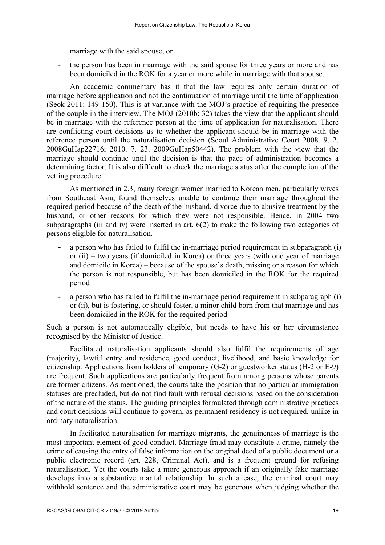marriage with the said spouse, or

the person has been in marriage with the said spouse for three years or more and has been domiciled in the ROK for a year or more while in marriage with that spouse.

An academic commentary has it that the law requires only certain duration of marriage before application and not the continuation of marriage until the time of application (Seok 2011: 149-150). This is at variance with the MOJ's practice of requiring the presence of the couple in the interview. The MOJ (2010b: 32) takes the view that the applicant should be in marriage with the reference person at the time of application for naturalisation. There are conflicting court decisions as to whether the applicant should be in marriage with the reference person until the naturalisation decision (Seoul Administrative Court 2008. 9. 2. 2008GuHap22716; 2010. 7. 23. 2009GuHap50442). The problem with the view that the marriage should continue until the decision is that the pace of administration becomes a determining factor. It is also difficult to check the marriage status after the completion of the vetting procedure.

As mentioned in 2.3, many foreign women married to Korean men, particularly wives from Southeast Asia, found themselves unable to continue their marriage throughout the required period because of the death of the husband, divorce due to abusive treatment by the husband, or other reasons for which they were not responsible. Hence, in 2004 two subparagraphs (iii and iv) were inserted in art. 6(2) to make the following two categories of persons eligible for naturalisation.

- a person who has failed to fulfil the in-marriage period requirement in subparagraph (i) or (ii) – two years (if domiciled in Korea) or three years (with one year of marriage and domicile in Korea) – because of the spouse's death, missing or a reason for which the person is not responsible, but has been domiciled in the ROK for the required period
- a person who has failed to fulfil the in-marriage period requirement in subparagraph (i) or (ii), but is fostering, or should foster, a minor child born from that marriage and has been domiciled in the ROK for the required period

Such a person is not automatically eligible, but needs to have his or her circumstance recognised by the Minister of Justice.

Facilitated naturalisation applicants should also fulfil the requirements of age (majority), lawful entry and residence, good conduct, livelihood, and basic knowledge for citizenship. Applications from holders of temporary (G-2) or guestworker status (H-2 or E-9) are frequent. Such applications are particularly frequent from among persons whose parents are former citizens. As mentioned, the courts take the position that no particular immigration statuses are precluded, but do not find fault with refusal decisions based on the consideration of the nature of the status. The guiding principles formulated through administrative practices and court decisions will continue to govern, as permanent residency is not required, unlike in ordinary naturalisation.

In facilitated naturalisation for marriage migrants, the genuineness of marriage is the most important element of good conduct. Marriage fraud may constitute a crime, namely the crime of causing the entry of false information on the original deed of a public document or a public electronic record (art. 228, Criminal Act), and is a frequent ground for refusing naturalisation. Yet the courts take a more generous approach if an originally fake marriage develops into a substantive marital relationship. In such a case, the criminal court may withhold sentence and the administrative court may be generous when judging whether the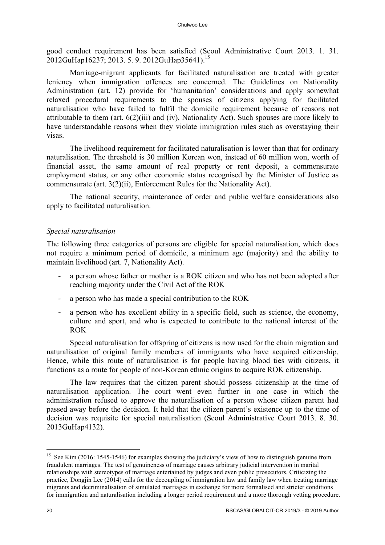good conduct requirement has been satisfied (Seoul Administrative Court 2013. 1. 31. 2012GuHap16237; 2013. 5. 9. 2012GuHap35641).15

Marriage-migrant applicants for facilitated naturalisation are treated with greater leniency when immigration offences are concerned. The Guidelines on Nationality Administration (art. 12) provide for 'humanitarian' considerations and apply somewhat relaxed procedural requirements to the spouses of citizens applying for facilitated naturalisation who have failed to fulfil the domicile requirement because of reasons not attributable to them (art. 6(2)(iii) and (iv), Nationality Act). Such spouses are more likely to have understandable reasons when they violate immigration rules such as overstaying their visas.

The livelihood requirement for facilitated naturalisation is lower than that for ordinary naturalisation. The threshold is 30 million Korean won, instead of 60 million won, worth of financial asset, the same amount of real property or rent deposit, a commensurate employment status, or any other economic status recognised by the Minister of Justice as commensurate (art. 3(2)(ii), Enforcement Rules for the Nationality Act).

The national security, maintenance of order and public welfare considerations also apply to facilitated naturalisation.

## *Special naturalisation*

The following three categories of persons are eligible for special naturalisation, which does not require a minimum period of domicile, a minimum age (majority) and the ability to maintain livelihood (art. 7, Nationality Act).

- a person whose father or mother is a ROK citizen and who has not been adopted after reaching majority under the Civil Act of the ROK
- a person who has made a special contribution to the ROK
- a person who has excellent ability in a specific field, such as science, the economy, culture and sport, and who is expected to contribute to the national interest of the ROK

Special naturalisation for offspring of citizens is now used for the chain migration and naturalisation of original family members of immigrants who have acquired citizenship. Hence, while this route of naturalisation is for people having blood ties with citizens, it functions as a route for people of non-Korean ethnic origins to acquire ROK citizenship.

The law requires that the citizen parent should possess citizenship at the time of naturalisation application. The court went even further in one case in which the administration refused to approve the naturalisation of a person whose citizen parent had passed away before the decision. It held that the citizen parent's existence up to the time of decision was requisite for special naturalisation (Seoul Administrative Court 2013. 8. 30. 2013GuHap4132).

l

<sup>&</sup>lt;sup>15</sup> See Kim (2016: 1545-1546) for examples showing the judiciary's view of how to distinguish genuine from fraudulent marriages. The test of genuineness of marriage causes arbitrary judicial intervention in marital relationships with stereotypes of marriage entertained by judges and even public prosecutors. Criticizing the practice, Dongjin Lee (2014) calls for the decoupling of immigration law and family law when treating marriage migrants and decriminalisation of simulated marriages in exchange for more formalised and stricter conditions for immigration and naturalisation including a longer period requirement and a more thorough vetting procedure.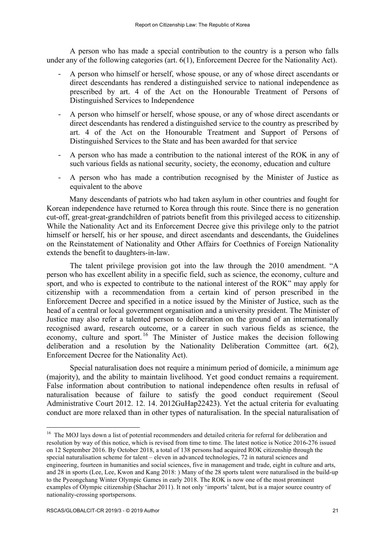A person who has made a special contribution to the country is a person who falls under any of the following categories (art. 6(1), Enforcement Decree for the Nationality Act).

- A person who himself or herself, whose spouse, or any of whose direct ascendants or direct descendants has rendered a distinguished service to national independence as prescribed by art. 4 of the Act on the Honourable Treatment of Persons of Distinguished Services to Independence
- A person who himself or herself, whose spouse, or any of whose direct ascendants or direct descendants has rendered a distinguished service to the country as prescribed by art. 4 of the Act on the Honourable Treatment and Support of Persons of Distinguished Services to the State and has been awarded for that service
- A person who has made a contribution to the national interest of the ROK in any of such various fields as national security, society, the economy, education and culture
- A person who has made a contribution recognised by the Minister of Justice as equivalent to the above

Many descendants of patriots who had taken asylum in other countries and fought for Korean independence have returned to Korea through this route. Since there is no generation cut-off, great-great-grandchildren of patriots benefit from this privileged access to citizenship. While the Nationality Act and its Enforcement Decree give this privilege only to the patriot himself or herself, his or her spouse, and direct ascendants and descendants, the Guidelines on the Reinstatement of Nationality and Other Affairs for Coethnics of Foreign Nationality extends the benefit to daughters-in-law.

The talent privilege provision got into the law through the 2010 amendment. "A person who has excellent ability in a specific field, such as science, the economy, culture and sport, and who is expected to contribute to the national interest of the ROK" may apply for citizenship with a recommendation from a certain kind of person prescribed in the Enforcement Decree and specified in a notice issued by the Minister of Justice, such as the head of a central or local government organisation and a university president. The Minister of Justice may also refer a talented person to deliberation on the ground of an internationally recognised award, research outcome, or a career in such various fields as science, the economy, culture and sport.<sup>16</sup> The Minister of Justice makes the decision following deliberation and a resolution by the Nationality Deliberation Committee (art. 6(2), Enforcement Decree for the Nationality Act).

Special naturalisation does not require a minimum period of domicile, a minimum age (majority), and the ability to maintain livelihood. Yet good conduct remains a requirement. False information about contribution to national independence often results in refusal of naturalisation because of failure to satisfy the good conduct requirement (Seoul Administrative Court 2012. 12. 14. 2012GuHap22423). Yet the actual criteria for evaluating conduct are more relaxed than in other types of naturalisation. In the special naturalisation of

<sup>&</sup>lt;sup>16</sup> The MOJ lays down a list of potential recommenders and detailed criteria for referral for deliberation and resolution by way of this notice, which is revised from time to time. The latest notice is Notice 2016-276 issued on 12 September 2016. By October 2018, a total of 138 persons had acquired ROK citizenship through the special naturalisation scheme for talent – eleven in advanced technologies, 72 in natural sciences and engineering, fourteen in humanities and social sciences, five in management and trade, eight in culture and arts, and 28 in sports (Lee, Lee, Kwon and Kang 2018: ) Many of the 28 sports talent were naturalised in the build-up to the Pyeongchang Winter Olympic Games in early 2018. The ROK is now one of the most prominent examples of Olympic citizenship (Shachar 2011). It not only 'imports' talent, but is a major source country of nationality-crossing sportspersons.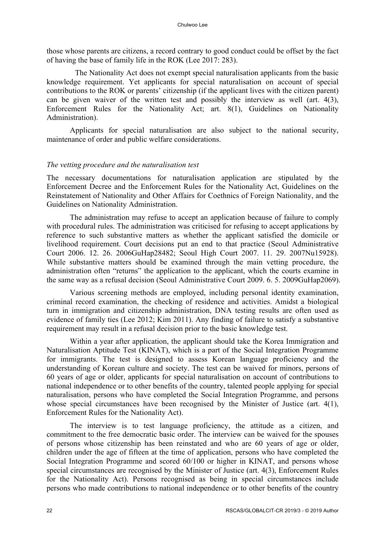those whose parents are citizens, a record contrary to good conduct could be offset by the fact of having the base of family life in the ROK (Lee 2017: 283).

The Nationality Act does not exempt special naturalisation applicants from the basic knowledge requirement. Yet applicants for special naturalisation on account of special contributions to the ROK or parents' citizenship (if the applicant lives with the citizen parent) can be given waiver of the written test and possibly the interview as well (art. 4(3), Enforcement Rules for the Nationality Act; art. 8(1), Guidelines on Nationality Administration).

Applicants for special naturalisation are also subject to the national security, maintenance of order and public welfare considerations.

### *The vetting procedure and the naturalisation test*

The necessary documentations for naturalisation application are stipulated by the Enforcement Decree and the Enforcement Rules for the Nationality Act, Guidelines on the Reinstatement of Nationality and Other Affairs for Coethnics of Foreign Nationality, and the Guidelines on Nationality Administration.

The administration may refuse to accept an application because of failure to comply with procedural rules. The administration was criticised for refusing to accept applications by reference to such substantive matters as whether the applicant satisfied the domicile or livelihood requirement. Court decisions put an end to that practice (Seoul Administrative Court 2006. 12. 26. 2006GuHap28482; Seoul High Court 2007. 11. 29. 2007Nu15928). While substantive matters should be examined through the main vetting procedure, the administration often "returns" the application to the applicant, which the courts examine in the same way as a refusal decision (Seoul Administrative Court 2009. 6. 5. 2009GuHap2069).

Various screening methods are employed, including personal identity examination, criminal record examination, the checking of residence and activities. Amidst a biological turn in immigration and citizenship administration, DNA testing results are often used as evidence of family ties (Lee 2012; Kim 2011). Any finding of failure to satisfy a substantive requirement may result in a refusal decision prior to the basic knowledge test.

Within a year after application, the applicant should take the Korea Immigration and Naturalisation Aptitude Test (KINAT), which is a part of the Social Integration Programme for immigrants. The test is designed to assess Korean language proficiency and the understanding of Korean culture and society. The test can be waived for minors, persons of 60 years of age or older, applicants for special naturalisation on account of contributions to national independence or to other benefits of the country, talented people applying for special naturalisation, persons who have completed the Social Integration Programme, and persons whose special circumstances have been recognised by the Minister of Justice (art. 4(1), Enforcement Rules for the Nationality Act).

The interview is to test language proficiency, the attitude as a citizen, and commitment to the free democratic basic order. The interview can be waived for the spouses of persons whose citizenship has been reinstated and who are 60 years of age or older, children under the age of fifteen at the time of application, persons who have completed the Social Integration Programme and scored 60/100 or higher in KINAT, and persons whose special circumstances are recognised by the Minister of Justice (art. 4(3), Enforcement Rules for the Nationality Act). Persons recognised as being in special circumstances include persons who made contributions to national independence or to other benefits of the country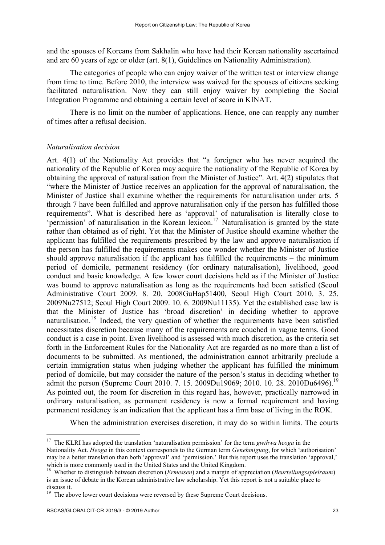and the spouses of Koreans from Sakhalin who have had their Korean nationality ascertained and are 60 years of age or older (art. 8(1), Guidelines on Nationality Administration).

The categories of people who can enjoy waiver of the written test or interview change from time to time. Before 2010, the interview was waived for the spouses of citizens seeking facilitated naturalisation. Now they can still enjoy waiver by completing the Social Integration Programme and obtaining a certain level of score in KINAT.

There is no limit on the number of applications. Hence, one can reapply any number of times after a refusal decision.

### *Naturalisation decision*

Art. 4(1) of the Nationality Act provides that "a foreigner who has never acquired the nationality of the Republic of Korea may acquire the nationality of the Republic of Korea by obtaining the approval of naturalisation from the Minister of Justice". Art. 4(2) stipulates that "where the Minister of Justice receives an application for the approval of naturalisation, the Minister of Justice shall examine whether the requirements for naturalisation under arts. 5 through 7 have been fulfilled and approve naturalisation only if the person has fulfilled those requirements". What is described here as 'approval' of naturalisation is literally close to 'permission' of naturalisation in the Korean lexicon. <sup>17</sup> Naturalisation is granted by the state rather than obtained as of right. Yet that the Minister of Justice should examine whether the applicant has fulfilled the requirements prescribed by the law and approve naturalisation if the person has fulfilled the requirements makes one wonder whether the Minister of Justice should approve naturalisation if the applicant has fulfilled the requirements – the minimum period of domicile, permanent residency (for ordinary naturalisation), livelihood, good conduct and basic knowledge. A few lower court decisions held as if the Minister of Justice was bound to approve naturalisation as long as the requirements had been satisfied (Seoul Administrative Court 2009. 8. 20. 2008GuHap51400, Seoul High Court 2010. 3. 25. 2009Nu27512; Seoul High Court 2009. 10. 6. 2009Nu11135). Yet the established case law is that the Minister of Justice has 'broad discretion' in deciding whether to approve naturalisation.<sup>18</sup> Indeed, the very question of whether the requirements have been satisfied necessitates discretion because many of the requirements are couched in vague terms. Good conduct is a case in point. Even livelihood is assessed with much discretion, as the criteria set forth in the Enforcement Rules for the Nationality Act are regarded as no more than a list of documents to be submitted. As mentioned, the administration cannot arbitrarily preclude a certain immigration status when judging whether the applicant has fulfilled the minimum period of domicile, but may consider the nature of the person's status in deciding whether to admit the person (Supreme Court 2010, 7, 15, 2009Du19069; 2010, 10, 28, 2010Du6496). As pointed out, the room for discretion in this regard has, however, practically narrowed in ordinary naturalisation, as permanent residency is now a formal requirement and having permanent residency is an indication that the applicant has a firm base of living in the ROK.

When the administration exercises discretion, it may do so within limits. The courts

<sup>&</sup>lt;sup>17</sup> The KLRI has adopted the translation 'naturalisation permission' for the term *gwihwa heoga* in the

Nationality Act. *Heoga* in this context corresponds to the German term *Genehmigung*, for which 'authorisation' may be a better translation than both 'approval' and 'permission.' But this report uses the translation 'approval,'

<sup>&</sup>lt;sup>18</sup> Whether to distinguish between discretion (*Ermessen*) and a margin of appreciation (*Beurteilungsspielraum*) is an issue of debate in the Korean administrative law scholarship. Yet this report is not a suitable place to discuss it.

<sup>&</sup>lt;sup>19</sup> The above lower court decisions were reversed by these Supreme Court decisions.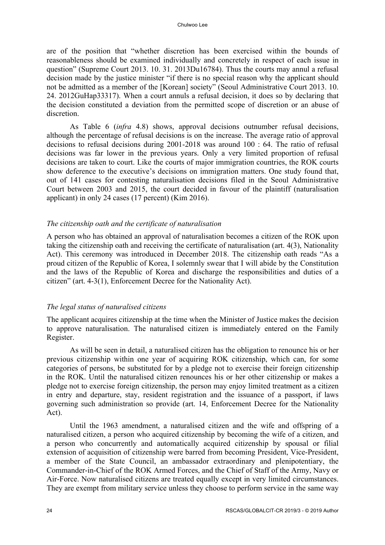are of the position that "whether discretion has been exercised within the bounds of reasonableness should be examined individually and concretely in respect of each issue in question" (Supreme Court 2013. 10. 31. 2013Du16784). Thus the courts may annul a refusal decision made by the justice minister "if there is no special reason why the applicant should not be admitted as a member of the [Korean] society" (Seoul Administrative Court 2013. 10. 24. 2012GuHap33317). When a court annuls a refusal decision, it does so by declaring that the decision constituted a deviation from the permitted scope of discretion or an abuse of discretion.

As Table 6 (*infra* 4.8) shows, approval decisions outnumber refusal decisions, although the percentage of refusal decisions is on the increase. The average ratio of approval decisions to refusal decisions during 2001-2018 was around 100 : 64. The ratio of refusal decisions was far lower in the previous years. Only a very limited proportion of refusal decisions are taken to court. Like the courts of major immigration countries, the ROK courts show deference to the executive's decisions on immigration matters. One study found that, out of 141 cases for contesting naturalisation decisions filed in the Seoul Administrative Court between 2003 and 2015, the court decided in favour of the plaintiff (naturalisation applicant) in only 24 cases (17 percent) (Kim 2016).

### *The citizenship oath and the certificate of naturalisation*

A person who has obtained an approval of naturalisation becomes a citizen of the ROK upon taking the citizenship oath and receiving the certificate of naturalisation (art. 4(3), Nationality Act). This ceremony was introduced in December 2018. The citizenship oath reads "As a proud citizen of the Republic of Korea, I solemnly swear that I will abide by the Constitution and the laws of the Republic of Korea and discharge the responsibilities and duties of a citizen" (art. 4-3(1), Enforcement Decree for the Nationality Act).

# *The legal status of naturalised citizens*

The applicant acquires citizenship at the time when the Minister of Justice makes the decision to approve naturalisation. The naturalised citizen is immediately entered on the Family Register.

As will be seen in detail, a naturalised citizen has the obligation to renounce his or her previous citizenship within one year of acquiring ROK citizenship, which can, for some categories of persons, be substituted for by a pledge not to exercise their foreign citizenship in the ROK. Until the naturalised citizen renounces his or her other citizenship or makes a pledge not to exercise foreign citizenship, the person may enjoy limited treatment as a citizen in entry and departure, stay, resident registration and the issuance of a passport, if laws governing such administration so provide (art. 14, Enforcement Decree for the Nationality Act).

Until the 1963 amendment, a naturalised citizen and the wife and offspring of a naturalised citizen, a person who acquired citizenship by becoming the wife of a citizen, and a person who concurrently and automatically acquired citizenship by spousal or filial extension of acquisition of citizenship were barred from becoming President, Vice-President, a member of the State Council, an ambassador extraordinary and plenipotentiary, the Commander-in-Chief of the ROK Armed Forces, and the Chief of Staff of the Army, Navy or Air-Force. Now naturalised citizens are treated equally except in very limited circumstances. They are exempt from military service unless they choose to perform service in the same way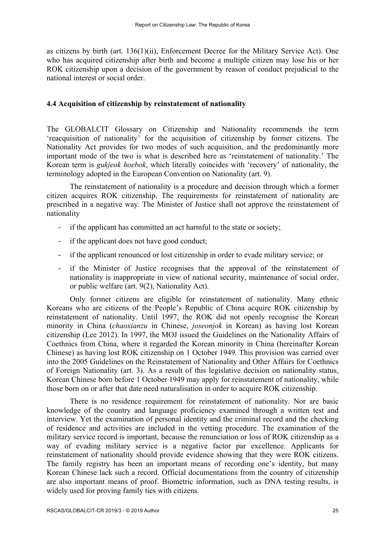as citizens by birth (art. 136(1)(ii), Enforcement Decree for the Military Service Act). One who has acquired citizenship after birth and become a multiple citizen may lose his or her ROK citizenship upon a decision of the government by reason of conduct prejudicial to the national interest or social order.

## **4.4 Acquisition of citizenship by reinstatement of nationality**

The GLOBALCIT Glossary on Citizenship and Nationality recommends the term 'reacquisition of nationality' for the acquisition of citizenship by former citizens. The Nationality Act provides for two modes of such acquisition, and the predominantly more important mode of the two is what is described here as 'reinstatement of nationality.' The Korean term is *gukjeok hoebok*, which literally coincides with 'recovery' of nationality, the terminology adopted in the European Convention on Nationality (art. 9).

The reinstatement of nationality is a procedure and decision through which a former citizen acquires ROK citizenship. The requirements for reinstatement of nationality are prescribed in a negative way. The Minister of Justice shall not approve the reinstatement of nationality

- if the applicant has committed an act harmful to the state or society;
- if the applicant does not have good conduct;
- if the applicant renounced or lost citizenship in order to evade military service; or
- if the Minister of Justice recognises that the approval of the reinstatement of nationality is inappropriate in view of national security, maintenance of social order, or public welfare (art. 9(2), Nationality Act).

Only former citizens are eligible for reinstatement of nationality. Many ethnic Koreans who are citizens of the People's Republic of China acquire ROK citizenship by reinstatement of nationality. Until 1997, the ROK did not openly recognise the Korean minority in China (*chaoxianzu* in Chinese, *joseonjok* in Korean) as having lost Korean citizenship (Lee 2012). In 1997, the MOJ issued the Guidelines on the Nationality Affairs of Coethnics from China, where it regarded the Korean minority in China (hereinafter Korean Chinese) as having lost ROK citizenship on 1 October 1949. This provision was carried over into the 2005 Guidelines on the Reinstatement of Nationality and Other Affairs for Coethnics of Foreign Nationality (art. 3). As a result of this legislative decision on nationality status, Korean Chinese born before 1 October 1949 may apply for reinstatement of nationality, while those born on or after that date need naturalisation in order to acquire ROK citizenship.

There is no residence requirement for reinstatement of nationality. Nor are basic knowledge of the country and language proficiency examined through a written test and interview. Yet the examination of personal identity and the criminal record and the checking of residence and activities are included in the vetting procedure. The examination of the military service record is important, because the renunciation or loss of ROK citizenship as a way of evading military service is a negative factor par excellence. Applicants for reinstatement of nationality should provide evidence showing that they were ROK citizens. The family registry has been an important means of recording one's identity, but many Korean Chinese lack such a record. Official documentations from the country of citizenship are also important means of proof. Biometric information, such as DNA testing results, is widely used for proving family ties with citizens.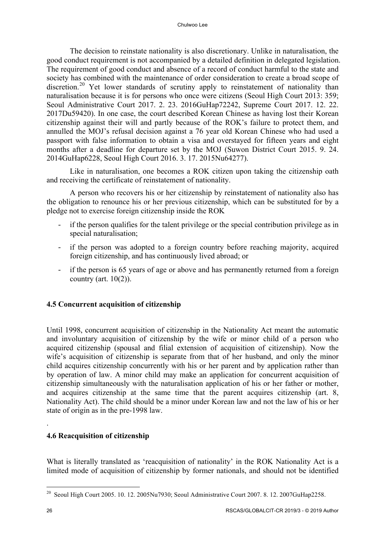The decision to reinstate nationality is also discretionary. Unlike in naturalisation, the good conduct requirement is not accompanied by a detailed definition in delegated legislation. The requirement of good conduct and absence of a record of conduct harmful to the state and society has combined with the maintenance of order consideration to create a broad scope of discretion.<sup>20</sup> Yet lower standards of scrutiny apply to reinstatement of nationality than naturalisation because it is for persons who once were citizens (Seoul High Court 2013: 359; Seoul Administrative Court 2017. 2. 23. 2016GuHap72242, Supreme Court 2017. 12. 22. 2017Du59420). In one case, the court described Korean Chinese as having lost their Korean citizenship against their will and partly because of the ROK's failure to protect them, and annulled the MOJ's refusal decision against a 76 year old Korean Chinese who had used a passport with false information to obtain a visa and overstayed for fifteen years and eight months after a deadline for departure set by the MOJ (Suwon District Court 2015. 9. 24. 2014GuHap6228, Seoul High Court 2016. 3. 17. 2015Nu64277).

Like in naturalisation, one becomes a ROK citizen upon taking the citizenship oath and receiving the certificate of reinstatement of nationality.

A person who recovers his or her citizenship by reinstatement of nationality also has the obligation to renounce his or her previous citizenship, which can be substituted for by a pledge not to exercise foreign citizenship inside the ROK

- if the person qualifies for the talent privilege or the special contribution privilege as in special naturalisation;
- if the person was adopted to a foreign country before reaching majority, acquired foreign citizenship, and has continuously lived abroad; or
- if the person is 65 years of age or above and has permanently returned from a foreign country (art.  $10(2)$ ).

# **4.5 Concurrent acquisition of citizenship**

Until 1998, concurrent acquisition of citizenship in the Nationality Act meant the automatic and involuntary acquisition of citizenship by the wife or minor child of a person who acquired citizenship (spousal and filial extension of acquisition of citizenship). Now the wife's acquisition of citizenship is separate from that of her husband, and only the minor child acquires citizenship concurrently with his or her parent and by application rather than by operation of law. A minor child may make an application for concurrent acquisition of citizenship simultaneously with the naturalisation application of his or her father or mother, and acquires citizenship at the same time that the parent acquires citizenship (art. 8, Nationality Act). The child should be a minor under Korean law and not the law of his or her state of origin as in the pre-1998 law.

# **4.6 Reacquisition of citizenship**

What is literally translated as 'reacquisition of nationality' in the ROK Nationality Act is a limited mode of acquisition of citizenship by former nationals, and should not be identified

l

.

<sup>&</sup>lt;sup>20</sup> Seoul High Court 2005. 10. 12. 2005Nu7930; Seoul Administrative Court 2007. 8. 12. 2007GuHap2258.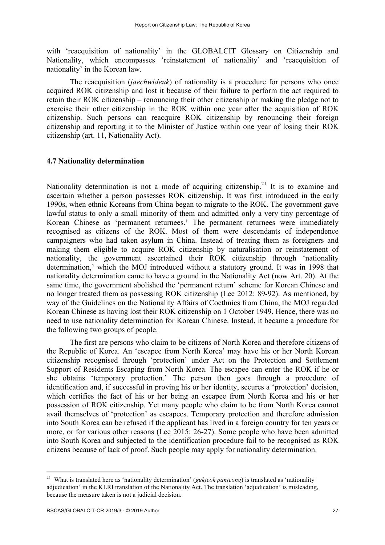with 'reacquisition of nationality' in the GLOBALCIT Glossary on Citizenship and Nationality, which encompasses 'reinstatement of nationality' and 'reacquisition of nationality' in the Korean law.

The reacquisition (*jaechwideuk*) of nationality is a procedure for persons who once acquired ROK citizenship and lost it because of their failure to perform the act required to retain their ROK citizenship – renouncing their other citizenship or making the pledge not to exercise their other citizenship in the ROK within one year after the acquisition of ROK citizenship. Such persons can reacquire ROK citizenship by renouncing their foreign citizenship and reporting it to the Minister of Justice within one year of losing their ROK citizenship (art. 11, Nationality Act).

### **4.7 Nationality determination**

Nationality determination is not a mode of acquiring citizenship.<sup>21</sup> It is to examine and ascertain whether a person possesses ROK citizenship. It was first introduced in the early 1990s, when ethnic Koreans from China began to migrate to the ROK. The government gave lawful status to only a small minority of them and admitted only a very tiny percentage of Korean Chinese as 'permanent returnees.' The permanent returnees were immediately recognised as citizens of the ROK. Most of them were descendants of independence campaigners who had taken asylum in China. Instead of treating them as foreigners and making them eligible to acquire ROK citizenship by naturalisation or reinstatement of nationality, the government ascertained their ROK citizenship through 'nationality determination,' which the MOJ introduced without a statutory ground. It was in 1998 that nationality determination came to have a ground in the Nationality Act (now Art. 20). At the same time, the government abolished the 'permanent return' scheme for Korean Chinese and no longer treated them as possessing ROK citizenship (Lee 2012: 89-92). As mentioned, by way of the Guidelines on the Nationality Affairs of Coethnics from China, the MOJ regarded Korean Chinese as having lost their ROK citizenship on 1 October 1949. Hence, there was no need to use nationality determination for Korean Chinese. Instead, it became a procedure for the following two groups of people.

The first are persons who claim to be citizens of North Korea and therefore citizens of the Republic of Korea. An 'escapee from North Korea' may have his or her North Korean citizenship recognised through 'protection' under Act on the Protection and Settlement Support of Residents Escaping from North Korea. The escapee can enter the ROK if he or she obtains 'temporary protection.' The person then goes through a procedure of identification and, if successful in proving his or her identity, secures a 'protection' decision, which certifies the fact of his or her being an escapee from North Korea and his or her possession of ROK citizenship. Yet many people who claim to be from North Korea cannot avail themselves of 'protection' as escapees. Temporary protection and therefore admission into South Korea can be refused if the applicant has lived in a foreign country for ten years or more, or for various other reasons (Lee 2015: 26-27). Some people who have been admitted into South Korea and subjected to the identification procedure fail to be recognised as ROK citizens because of lack of proof. Such people may apply for nationality determination.

<sup>21</sup> What is translated here as 'nationality determination' (*gukjeok panjeong*) is translated as 'nationality adjudication' in the KLRI translation of the Nationality Act. The translation 'adjudication' is misleading, because the measure taken is not a judicial decision.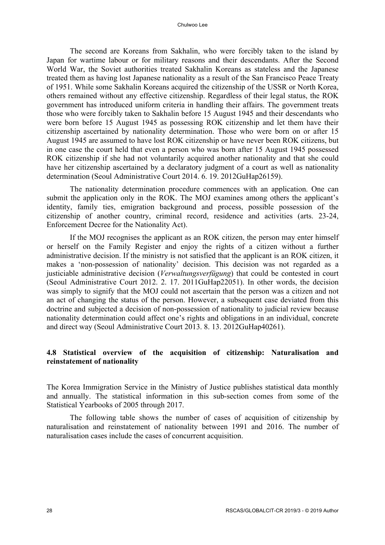The second are Koreans from Sakhalin, who were forcibly taken to the island by Japan for wartime labour or for military reasons and their descendants. After the Second World War, the Soviet authorities treated Sakhalin Koreans as stateless and the Japanese treated them as having lost Japanese nationality as a result of the San Francisco Peace Treaty of 1951. While some Sakhalin Koreans acquired the citizenship of the USSR or North Korea, others remained without any effective citizenship. Regardless of their legal status, the ROK government has introduced uniform criteria in handling their affairs. The government treats those who were forcibly taken to Sakhalin before 15 August 1945 and their descendants who were born before 15 August 1945 as possessing ROK citizenship and let them have their citizenship ascertained by nationality determination. Those who were born on or after 15 August 1945 are assumed to have lost ROK citizenship or have never been ROK citizens, but in one case the court held that even a person who was born after 15 August 1945 possessed ROK citizenship if she had not voluntarily acquired another nationality and that she could have her citizenship ascertained by a declaratory judgment of a court as well as nationality determination (Seoul Administrative Court 2014. 6. 19. 2012GuHap26159).

The nationality determination procedure commences with an application. One can submit the application only in the ROK. The MOJ examines among others the applicant's identity, family ties, emigration background and process, possible possession of the citizenship of another country, criminal record, residence and activities (arts. 23-24, Enforcement Decree for the Nationality Act).

If the MOJ recognises the applicant as an ROK citizen, the person may enter himself or herself on the Family Register and enjoy the rights of a citizen without a further administrative decision. If the ministry is not satisfied that the applicant is an ROK citizen, it makes a 'non-possession of nationality' decision. This decision was not regarded as a justiciable administrative decision (*Verwaltungsverfügung*) that could be contested in court (Seoul Administrative Court 2012. 2. 17. 2011GuHap22051). In other words, the decision was simply to signify that the MOJ could not ascertain that the person was a citizen and not an act of changing the status of the person. However, a subsequent case deviated from this doctrine and subjected a decision of non-possession of nationality to judicial review because nationality determination could affect one's rights and obligations in an individual, concrete and direct way (Seoul Administrative Court 2013. 8. 13. 2012GuHap40261).

# **4.8 Statistical overview of the acquisition of citizenship: Naturalisation and reinstatement of nationality**

The Korea Immigration Service in the Ministry of Justice publishes statistical data monthly and annually. The statistical information in this sub-section comes from some of the Statistical Yearbooks of 2005 through 2017.

The following table shows the number of cases of acquisition of citizenship by naturalisation and reinstatement of nationality between 1991 and 2016. The number of naturalisation cases include the cases of concurrent acquisition.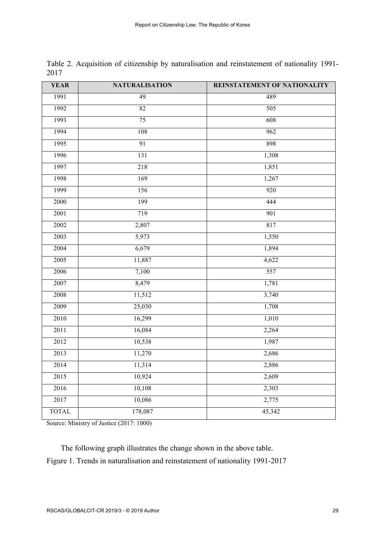| <b>YEAR</b>  | <b>NATURALISATION</b> | REINSTATEMENT OF NATIONALITY |
|--------------|-----------------------|------------------------------|
| 1991         | 49                    | 489                          |
| 1992         | 82                    | 505                          |
| 1993         | 75                    | 608                          |
| 1994         | 108                   | 962                          |
| 1995         | 91                    | 898                          |
| 1996         | 131                   | 1,308                        |
| 1997         | 218                   | 1,851                        |
| 1998         | 169                   | 1,267                        |
| 1999         | 156                   | 920                          |
| 2000         | 199                   | 444                          |
| 2001         | 719                   | 901                          |
| 2002         | 2,807                 | 817                          |
| 2003         | 5,973                 | 1,550                        |
| 2004         | 6,679                 | 1,894                        |
| 2005         | 11,887                | 4,622                        |
| 2006         | 7,100                 | 557                          |
| 2007         | 8,479                 | 1,781                        |
| 2008         | 11,512                | 3,740                        |
| 2009         | 25,030                | 1,708                        |
| 2010         | 16,299                | 1,010                        |
| 2011         | 16,084                | 2,264                        |
| 2012         | 10,538                | 1,987                        |
| 2013         | 11,270                | 2,686                        |
| 2014         | 11,314                | 2,886                        |
| 2015         | 10,924                | 2,609                        |
| 2016         | 10,108                | 2,303                        |
| 2017         | 10,086                | 2,775                        |
| <b>TOTAL</b> | 178,087               | 45,342                       |

Table 2. Acquisition of citizenship by naturalisation and reinstatement of nationality 1991- 

Source: Ministry of Justice (2017: 1000)

The following graph illustrates the change shown in the above table. Figure 1. Trends in naturalisation and reinstatement of nationality 1991-2017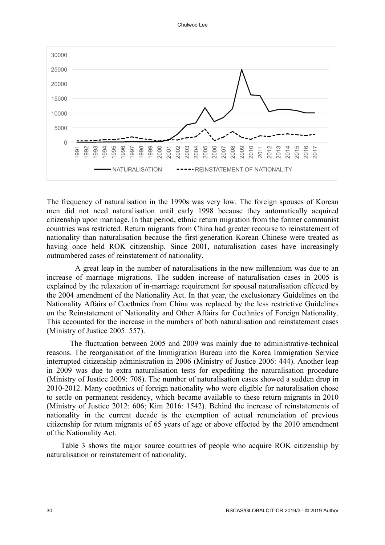Chulwoo Lee



The frequency of naturalisation in the 1990s was very low. The foreign spouses of Korean men did not need naturalisation until early 1998 because they automatically acquired citizenship upon marriage. In that period, ethnic return migration from the former communist countries was restricted. Return migrants from China had greater recourse to reinstatement of nationality than naturalisation because the first-generation Korean Chinese were treated as having once held ROK citizenship. Since 2001, naturalisation cases have increasingly outnumbered cases of reinstatement of nationality.

A great leap in the number of naturalisations in the new millennium was due to an increase of marriage migrations. The sudden increase of naturalisation cases in 2005 is explained by the relaxation of in-marriage requirement for spousal naturalisation effected by the 2004 amendment of the Nationality Act. In that year, the exclusionary Guidelines on the Nationality Affairs of Coethnics from China was replaced by the less restrictive Guidelines on the Reinstatement of Nationality and Other Affairs for Coethnics of Foreign Nationality. This accounted for the increase in the numbers of both naturalisation and reinstatement cases (Ministry of Justice 2005: 557).

The fluctuation between 2005 and 2009 was mainly due to administrative-technical reasons. The reorganisation of the Immigration Bureau into the Korea Immigration Service interrupted citizenship administration in 2006 (Ministry of Justice 2006: 444). Another leap in 2009 was due to extra naturalisation tests for expediting the naturalisation procedure (Ministry of Justice 2009: 708). The number of naturalisation cases showed a sudden drop in 2010-2012. Many coethnics of foreign nationality who were eligible for naturalisation chose to settle on permanent residency, which became available to these return migrants in 2010 (Ministry of Justice 2012: 606; Kim 2016: 1542). Behind the increase of reinstatements of nationality in the current decade is the exemption of actual renunciation of previous citizenship for return migrants of 65 years of age or above effected by the 2010 amendment of the Nationality Act.

Table 3 shows the major source countries of people who acquire ROK citizenship by naturalisation or reinstatement of nationality.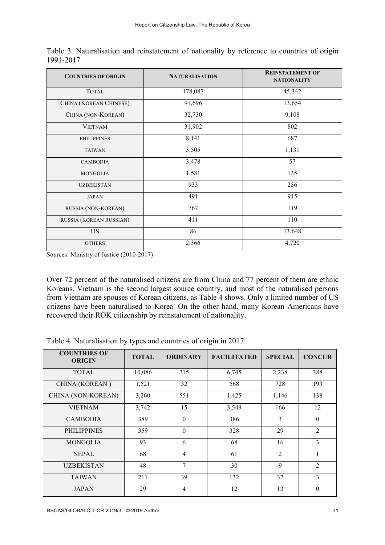| <b>COUNTRIES OF ORIGIN</b> | <b>NATURALISATION</b> | <b>REINSTATEMENT OF</b><br><b>NATIONALITY</b> |
|----------------------------|-----------------------|-----------------------------------------------|
| <b>TOTAL</b>               | 178,087               | 45,342                                        |
| CHINA (KOREAN CHINESE)     | 91,696                | 13,654                                        |
| CHINA (NON-KOREAN)         | 32,730                | 9,108                                         |
| <b>VIETNAM</b>             | 31,902                | 802                                           |
| <b>PHILIPPINES</b>         | 8,141                 | 687                                           |
| <b>TAIWAN</b>              | 3,505                 | 1,131                                         |
| <b>CAMBODIA</b>            | 3,478                 | 57                                            |
| MONGOLIA                   | 1,581                 | 135                                           |
| <b>UZBEKISTAN</b>          | 933                   | 256                                           |
| <b>JAPAN</b>               | 491                   | 915                                           |
| RUSSIA (NON-KOREAN)        | 767                   | 119                                           |
| RUSSIA (KOREAN RUSSIAN)    | 411                   | 110                                           |
| <b>US</b>                  | 86                    | 13,648                                        |
| <b>OTHERS</b>              | 2,366                 | 4,720                                         |

Table 3. Naturalisation and reinstatement of nationality by reference to countries of origin 1991-2017

Sources: Ministry of Justice (2010-2017)

Over 72 percent of the naturalised citizens are from China and 77 percent of them are ethnic Koreans. Vietnam is the second largest source country, and most of the naturalised persons from Vietnam are spouses of Korean citizens, as Table 4 shows. Only a limited number of US citizens have been naturalised to Korea. On the other hand, many Korean Americans have recovered their ROK citizenship by reinstatement of nationality.

Table 4. Naturalisation by types and countries of origin in 2017

| <b>COUNTRIES OF</b><br><b>ORIGIN</b> | <b>TOTAL</b> | <b>ORDINARY</b> | <b>FACILITATED</b> | <b>SPECIAL</b> | <b>CONCUR</b> |
|--------------------------------------|--------------|-----------------|--------------------|----------------|---------------|
| <b>TOTAL</b>                         | 10,086       | 715             | 6,745              | 2,238          | 388           |
| CHINA (KOREAN)                       | 1,521        | 32              | 568                | 728            | 193           |
| CHINA (NON-KOREAN)                   | 3,260        | 551             | 1,425              | 1,146          | 138           |
| <b>VIETNAM</b>                       | 3,742        | 15              | 3,549              | 166            | 12            |
| <b>CAMBODIA</b>                      | 389          | $\theta$        | 386                | 3              | $\theta$      |
| <b>PHILIPPINES</b>                   | 359          | $\theta$        | 328                | 29             | 2             |
| <b>MONGOLIA</b>                      | 93           | 6               | 68                 | 16             | 3             |
| <b>NEPAL</b>                         | 68           | $\overline{4}$  | 61                 | $\overline{2}$ |               |
| <b>UZBEKISTAN</b>                    | 48           | 7               | 30                 | 9              | 2             |
| <b>TAIWAN</b>                        | 211          | 39              | 132                | 37             | 3             |
| <b>JAPAN</b>                         | 29           | 4               | 12                 | 13             | $\theta$      |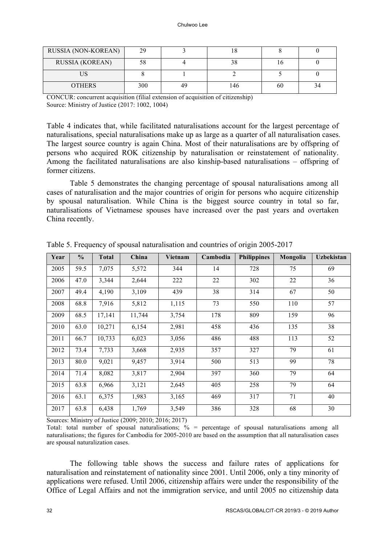| RUSSIA (NON-KOREAN)    | 29  |    | 1 O |    |    |
|------------------------|-----|----|-----|----|----|
| <b>RUSSIA (KOREAN)</b> |     |    | 20  |    |    |
| IJS                    |     |    |     |    |    |
| <b>OTHERS</b>          | 300 | 49 | !46 | 60 | 34 |

CONCUR: concurrent acquisition (filial extension of acquisition of citizenship) Source: Ministry of Justice (2017: 1002, 1004)

Table 4 indicates that, while facilitated naturalisations account for the largest percentage of naturalisations, special naturalisations make up as large as a quarter of all naturalisation cases. The largest source country is again China. Most of their naturalisations are by offspring of persons who acquired ROK citizenship by naturalisation or reinstatement of nationality. Among the facilitated naturalisations are also kinship-based naturalisations – offspring of former citizens.

Table 5 demonstrates the changing percentage of spousal naturalisations among all cases of naturalisation and the major countries of origin for persons who acquire citizenship by spousal naturalisation. While China is the biggest source country in total so far, naturalisations of Vietnamese spouses have increased over the past years and overtaken China recently.

| Year | $\frac{0}{0}$ | <b>Total</b> | China  | Vietnam | Cambodia | <b>Philippines</b> | Mongolia | <b>Uzbekistan</b> |
|------|---------------|--------------|--------|---------|----------|--------------------|----------|-------------------|
| 2005 | 59.5          | 7,075        | 5,572  | 344     | 14       | 728                | 75       | 69                |
| 2006 | 47.0          | 3,344        | 2,644  | 222     | 22       | 302                | 22       | 36                |
| 2007 | 49.4          | 4,190        | 3,109  | 439     | 38       | 314                | 67       | 50                |
| 2008 | 68.8          | 7,916        | 5,812  | 1,115   | 73       | 550                | 110      | 57                |
| 2009 | 68.5          | 17,141       | 11,744 | 3,754   | 178      | 809                | 159      | 96                |
| 2010 | 63.0          | 10,271       | 6,154  | 2,981   | 458      | 436                | 135      | 38                |
| 2011 | 66.7          | 10,733       | 6,023  | 3,056   | 486      | 488                | 113      | 52                |
| 2012 | 73.4          | 7,733        | 3,668  | 2,935   | 357      | 327                | 79       | 61                |
| 2013 | 80.0          | 9,021        | 9,457  | 3,914   | 500      | 513                | 99       | 78                |
| 2014 | 71.4          | 8,082        | 3,817  | 2,904   | 397      | 360                | 79       | 64                |
| 2015 | 63.8          | 6,966        | 3,121  | 2,645   | 405      | 258                | 79       | 64                |
| 2016 | 63.1          | 6,375        | 1,983  | 3,165   | 469      | 317                | 71       | 40                |
| 2017 | 63.8          | 6,438        | 1,769  | 3,549   | 386      | 328                | 68       | 30                |

Table 5. Frequency of spousal naturalisation and countries of origin 2005-2017

Sources: Ministry of Justice (2009; 2010; 2016; 2017)

Total: total number of spousal naturalisations;  $\%$  = percentage of spousal naturalisations among all naturalisations; the figures for Cambodia for 2005-2010 are based on the assumption that all naturalisation cases are spousal naturalization cases.

The following table shows the success and failure rates of applications for naturalisation and reinstatement of nationality since 2001. Until 2006, only a tiny minority of applications were refused. Until 2006, citizenship affairs were under the responsibility of the Office of Legal Affairs and not the immigration service, and until 2005 no citizenship data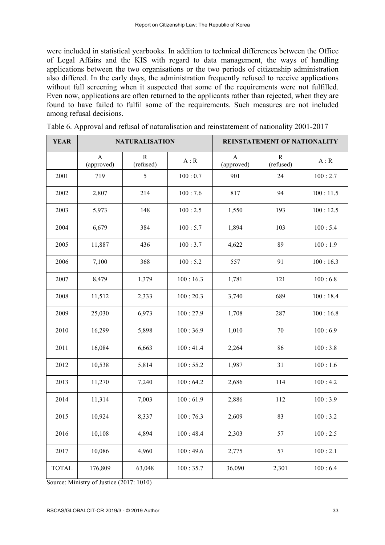were included in statistical yearbooks. In addition to technical differences between the Office of Legal Affairs and the KIS with regard to data management, the ways of handling applications between the two organisations or the two periods of citizenship administration also differed. In the early days, the administration frequently refused to receive applications without full screening when it suspected that some of the requirements were not fulfilled. Even now, applications are often returned to the applicants rather than rejected, when they are found to have failed to fulfil some of the requirements. Such measures are not included among refusal decisions.

| <b>YEAR</b>  | <b>NATURALISATION</b>      |                |          | REINSTATEMENT OF NATIONALITY |                |          |
|--------------|----------------------------|----------------|----------|------------------------------|----------------|----------|
|              | $\mathbf{A}$<br>(approved) | R<br>(refused) | A:R      | A<br>(approved)              | R<br>(refused) | A:R      |
| 2001         | 719                        | 5              | 100:0.7  | 901                          | 24             | 100:2.7  |
| 2002         | 2,807                      | 214            | 100:7.6  | 817                          | 94             | 100:11.5 |
| 2003         | 5,973                      | 148            | 100:2.5  | 1,550                        | 193            | 100:12.5 |
| 2004         | 6,679                      | 384            | 100:5.7  | 1,894                        | 103            | 100:5.4  |
| 2005         | 11,887                     | 436            | 100:3.7  | 4,622                        | 89             | 100:1.9  |
| 2006         | 7,100                      | 368            | 100:5.2  | 557                          | 91             | 100:16.3 |
| 2007         | 8,479                      | 1,379          | 100:16.3 | 1,781                        | 121            | 100:6.8  |
| 2008         | 11,512                     | 2,333          | 100:20.3 | 3,740                        | 689            | 100:18.4 |
| 2009         | 25,030                     | 6,973          | 100:27.9 | 1,708                        | 287            | 100:16.8 |
| 2010         | 16,299                     | 5,898          | 100:36.9 | 1,010                        | 70             | 100:6.9  |
| 2011         | 16,084                     | 6,663          | 100:41.4 | 2,264                        | 86             | 100:3.8  |
| 2012         | 10,538                     | 5,814          | 100:55.2 | 1,987                        | 31             | 100:1.6  |
| 2013         | 11,270                     | 7,240          | 100:64.2 | 2,686                        | 114            | 100:4.2  |
| 2014         | 11,314                     | 7,003          | 100:61.9 | 2,886                        | 112            | 100:3.9  |
| 2015         | 10,924                     | 8,337          | 100:76.3 | 2,609                        | 83             | 100:3.2  |
| 2016         | 10,108                     | 4,894          | 100:48.4 | 2,303                        | 57             | 100:2.5  |
| 2017         | 10,086                     | 4,960          | 100:49.6 | 2,775                        | 57             | 100:2.1  |
| <b>TOTAL</b> | 176,809                    | 63,048         | 100:35.7 | 36,090                       | 2,301          | 100:6.4  |

Table 6. Approval and refusal of naturalisation and reinstatement of nationality 2001-2017

Source: Ministry of Justice (2017: 1010)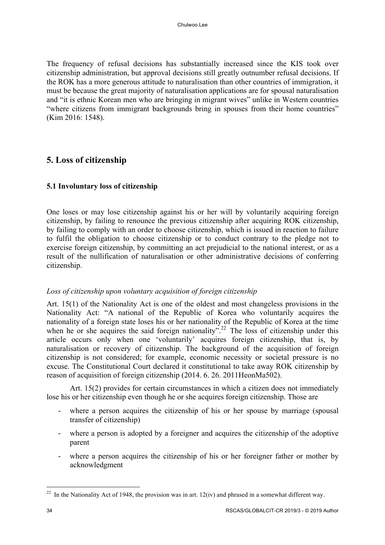The frequency of refusal decisions has substantially increased since the KIS took over citizenship administration, but approval decisions still greatly outnumber refusal decisions. If the ROK has a more generous attitude to naturalisation than other countries of immigration, it must be because the great majority of naturalisation applications are for spousal naturalisation and "it is ethnic Korean men who are bringing in migrant wives" unlike in Western countries "where citizens from immigrant backgrounds bring in spouses from their home countries" (Kim 2016: 1548).

# **5. Loss of citizenship**

# **5.1 Involuntary loss of citizenship**

One loses or may lose citizenship against his or her will by voluntarily acquiring foreign citizenship, by failing to renounce the previous citizenship after acquiring ROK citizenship, by failing to comply with an order to choose citizenship, which is issued in reaction to failure to fulfil the obligation to choose citizenship or to conduct contrary to the pledge not to exercise foreign citizenship, by committing an act prejudicial to the national interest, or as a result of the nullification of naturalisation or other administrative decisions of conferring citizenship.

# *Loss of citizenship upon voluntary acquisition of foreign citizenship*

Art. 15(1) of the Nationality Act is one of the oldest and most changeless provisions in the Nationality Act: "A national of the Republic of Korea who voluntarily acquires the nationality of a foreign state loses his or her nationality of the Republic of Korea at the time when he or she acquires the said foreign nationality".<sup>22</sup> The loss of citizenship under this article occurs only when one 'voluntarily' acquires foreign citizenship, that is, by naturalisation or recovery of citizenship. The background of the acquisition of foreign citizenship is not considered; for example, economic necessity or societal pressure is no excuse. The Constitutional Court declared it constitutional to take away ROK citizenship by reason of acquisition of foreign citizenship (2014. 6. 26. 2011HeonMa502).

Art. 15(2) provides for certain circumstances in which a citizen does not immediately lose his or her citizenship even though he or she acquires foreign citizenship. Those are

- where a person acquires the citizenship of his or her spouse by marriage (spousal transfer of citizenship)
- where a person is adopted by a foreigner and acquires the citizenship of the adoptive parent
- where a person acquires the citizenship of his or her foreigner father or mother by acknowledgment

l

<sup>&</sup>lt;sup>22</sup> In the Nationality Act of 1948, the provision was in art.  $12(iv)$  and phrased in a somewhat different way.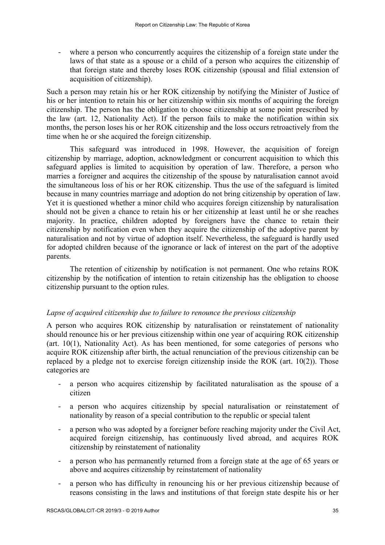- where a person who concurrently acquires the citizenship of a foreign state under the laws of that state as a spouse or a child of a person who acquires the citizenship of that foreign state and thereby loses ROK citizenship (spousal and filial extension of acquisition of citizenship).

Such a person may retain his or her ROK citizenship by notifying the Minister of Justice of his or her intention to retain his or her citizenship within six months of acquiring the foreign citizenship. The person has the obligation to choose citizenship at some point prescribed by the law (art. 12, Nationality Act). If the person fails to make the notification within six months, the person loses his or her ROK citizenship and the loss occurs retroactively from the time when he or she acquired the foreign citizenship.

This safeguard was introduced in 1998. However, the acquisition of foreign citizenship by marriage, adoption, acknowledgment or concurrent acquisition to which this safeguard applies is limited to acquisition by operation of law. Therefore, a person who marries a foreigner and acquires the citizenship of the spouse by naturalisation cannot avoid the simultaneous loss of his or her ROK citizenship. Thus the use of the safeguard is limited because in many countries marriage and adoption do not bring citizenship by operation of law. Yet it is questioned whether a minor child who acquires foreign citizenship by naturalisation should not be given a chance to retain his or her citizenship at least until he or she reaches majority. In practice, children adopted by foreigners have the chance to retain their citizenship by notification even when they acquire the citizenship of the adoptive parent by naturalisation and not by virtue of adoption itself. Nevertheless, the safeguard is hardly used for adopted children because of the ignorance or lack of interest on the part of the adoptive parents.

The retention of citizenship by notification is not permanent. One who retains ROK citizenship by the notification of intention to retain citizenship has the obligation to choose citizenship pursuant to the option rules.

### *Lapse of acquired citizenship due to failure to renounce the previous citizenship*

A person who acquires ROK citizenship by naturalisation or reinstatement of nationality should renounce his or her previous citizenship within one year of acquiring ROK citizenship (art. 10(1), Nationality Act). As has been mentioned, for some categories of persons who acquire ROK citizenship after birth, the actual renunciation of the previous citizenship can be replaced by a pledge not to exercise foreign citizenship inside the ROK (art. 10(2)). Those categories are

- a person who acquires citizenship by facilitated naturalisation as the spouse of a citizen
- a person who acquires citizenship by special naturalisation or reinstatement of nationality by reason of a special contribution to the republic or special talent
- a person who was adopted by a foreigner before reaching majority under the Civil Act, acquired foreign citizenship, has continuously lived abroad, and acquires ROK citizenship by reinstatement of nationality
- a person who has permanently returned from a foreign state at the age of 65 years or above and acquires citizenship by reinstatement of nationality
- a person who has difficulty in renouncing his or her previous citizenship because of reasons consisting in the laws and institutions of that foreign state despite his or her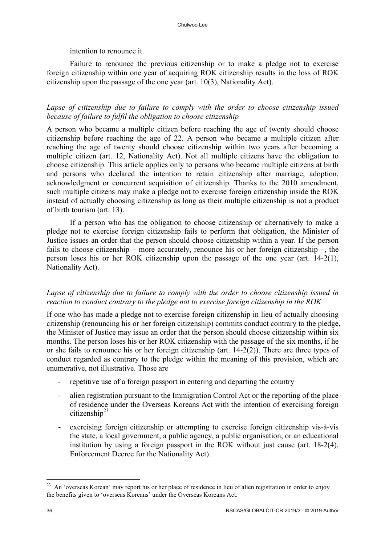## intention to renounce it.

Failure to renounce the previous citizenship or to make a pledge not to exercise foreign citizenship within one year of acquiring ROK citizenship results in the loss of ROK citizenship upon the passage of the one year (art. 10(3), Nationality Act).

# *Lapse of citizenship due to failure to comply with the order to choose citizenship issued because of failure to fulfil the obligation to choose citizenship*

A person who became a multiple citizen before reaching the age of twenty should choose citizenship before reaching the age of 22. A person who became a multiple citizen after reaching the age of twenty should choose citizenship within two years after becoming a multiple citizen (art. 12, Nationality Act). Not all multiple citizens have the obligation to choose citizenship. This article applies only to persons who became multiple citizens at birth and persons who declared the intention to retain citizenship after marriage, adoption, acknowledgment or concurrent acquisition of citizenship. Thanks to the 2010 amendment, such multiple citizens may make a pledge not to exercise foreign citizenship inside the ROK instead of actually choosing citizenship as long as their multiple citizenship is not a product of birth tourism (art. 13).

If a person who has the obligation to choose citizenship or alternatively to make a pledge not to exercise foreign citizenship fails to perform that obligation, the Minister of Justice issues an order that the person should choose citizenship within a year. If the person fails to choose citizenship – more accurately, renounce his or her foreign citizenship –, the person loses his or her ROK citizenship upon the passage of the one year (art. 14-2(1), Nationality Act).

# *Lapse of citizenship due to failure to comply with the order to choose citizenship issued in reaction to conduct contrary to the pledge not to exercise foreign citizenship in the ROK*

If one who has made a pledge not to exercise foreign citizenship in lieu of actually choosing citizenship (renouncing his or her foreign citizenship) commits conduct contrary to the pledge, the Minister of Justice may issue an order that the person should choose citizenship within six months. The person loses his or her ROK citizenship with the passage of the six months, if he or she fails to renounce his or her foreign citizenship (art. 14-2(2)). There are three types of conduct regarded as contrary to the pledge within the meaning of this provision, which are enumerative, not illustrative. Those are

- repetitive use of a foreign passport in entering and departing the country
- alien registration pursuant to the Immigration Control Act or the reporting of the place of residence under the Overseas Koreans Act with the intention of exercising foreign citizenship<sup>23</sup>
- exercising foreign citizenship or attempting to exercise foreign citizenship vis-à-vis the state, a local government, a public agency, a public organisation, or an educational institution by using a foreign passport in the ROK without just cause (art. 18-2(4), Enforcement Decree for the Nationality Act).

 $^{23}$  An 'overseas Korean' may report his or her place of residence in lieu of alien registration in order to enjoy the benefits given to 'overseas Koreans' under the Overseas Koreans Act.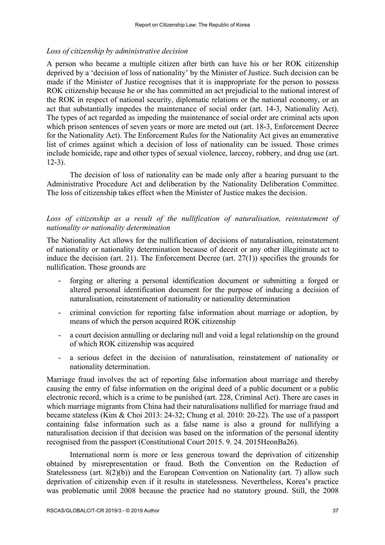# *Loss of citizenship by administrative decision*

A person who became a multiple citizen after birth can have his or her ROK citizenship deprived by a 'decision of loss of nationality' by the Minister of Justice. Such decision can be made if the Minister of Justice recognises that it is inappropriate for the person to possess ROK citizenship because he or she has committed an act prejudicial to the national interest of the ROK in respect of national security, diplomatic relations or the national economy, or an act that substantially impedes the maintenance of social order (art. 14-3, Nationality Act). The types of act regarded as impeding the maintenance of social order are criminal acts upon which prison sentences of seven years or more are meted out (art. 18-3, Enforcement Decree for the Nationality Act). The Enforcement Rules for the Nationality Act gives an enumerative list of crimes against which a decision of loss of nationality can be issued. Those crimes include homicide, rape and other types of sexual violence, larceny, robbery, and drug use (art. 12-3).

The decision of loss of nationality can be made only after a hearing pursuant to the Administrative Procedure Act and deliberation by the Nationality Deliberation Committee. The loss of citizenship takes effect when the Minister of Justice makes the decision.

# Loss of citizenship as a result of the nullification of naturalisation, reinstatement of *nationality or nationality determination*

The Nationality Act allows for the nullification of decisions of naturalisation, reinstatement of nationality or nationality determination because of deceit or any other illegitimate act to induce the decision (art. 21). The Enforcement Decree (art. 27(1)) specifies the grounds for nullification. Those grounds are

- forging or altering a personal identification document or submitting a forged or altered personal identification document for the purpose of inducing a decision of naturalisation, reinstatement of nationality or nationality determination
- criminal conviction for reporting false information about marriage or adoption, by means of which the person acquired ROK citizenship
- a court decision annulling or declaring null and void a legal relationship on the ground of which ROK citizenship was acquired
- a serious defect in the decision of naturalisation, reinstatement of nationality or nationality determination.

Marriage fraud involves the act of reporting false information about marriage and thereby causing the entry of false information on the original deed of a public document or a public electronic record, which is a crime to be punished (art. 228, Criminal Act). There are cases in which marriage migrants from China had their naturalisations nullified for marriage fraud and became stateless (Kim & Choi 2013: 24-32; Chung et al. 2010: 20-22). The use of a passport containing false information such as a false name is also a ground for nullifying a naturalisation decision if that decision was based on the information of the personal identity recognised from the passport (Constitutional Court 2015. 9. 24. 2015HeonBa26).

International norm is more or less generous toward the deprivation of citizenship obtained by misrepresentation or fraud. Both the Convention on the Reduction of Statelessness (art. 8(2)(b)) and the European Convention on Nationality (art. 7) allow such deprivation of citizenship even if it results in statelessness. Nevertheless, Korea's practice was problematic until 2008 because the practice had no statutory ground. Still, the 2008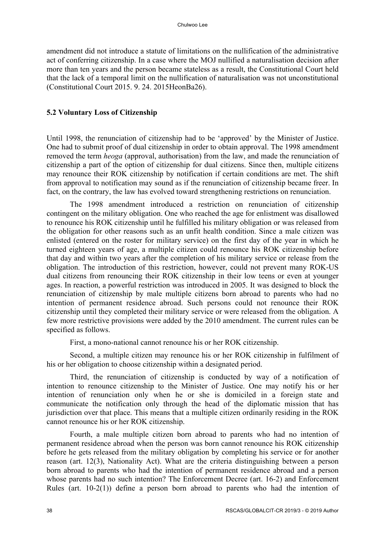amendment did not introduce a statute of limitations on the nullification of the administrative act of conferring citizenship. In a case where the MOJ nullified a naturalisation decision after more than ten years and the person became stateless as a result, the Constitutional Court held that the lack of a temporal limit on the nullification of naturalisation was not unconstitutional (Constitutional Court 2015. 9. 24. 2015HeonBa26).

## **5.2 Voluntary Loss of Citizenship**

Until 1998, the renunciation of citizenship had to be 'approved' by the Minister of Justice. One had to submit proof of dual citizenship in order to obtain approval. The 1998 amendment removed the term *heoga* (approval, authorisation) from the law, and made the renunciation of citizenship a part of the option of citizenship for dual citizens. Since then, multiple citizens may renounce their ROK citizenship by notification if certain conditions are met. The shift from approval to notification may sound as if the renunciation of citizenship became freer. In fact, on the contrary, the law has evolved toward strengthening restrictions on renunciation.

The 1998 amendment introduced a restriction on renunciation of citizenship contingent on the military obligation. One who reached the age for enlistment was disallowed to renounce his ROK citizenship until he fulfilled his military obligation or was released from the obligation for other reasons such as an unfit health condition. Since a male citizen was enlisted (entered on the roster for military service) on the first day of the year in which he turned eighteen years of age, a multiple citizen could renounce his ROK citizenship before that day and within two years after the completion of his military service or release from the obligation. The introduction of this restriction, however, could not prevent many ROK-US dual citizens from renouncing their ROK citizenship in their low teens or even at younger ages. In reaction, a powerful restriction was introduced in 2005. It was designed to block the renunciation of citizenship by male multiple citizens born abroad to parents who had no intention of permanent residence abroad. Such persons could not renounce their ROK citizenship until they completed their military service or were released from the obligation. A few more restrictive provisions were added by the 2010 amendment. The current rules can be specified as follows.

First, a mono-national cannot renounce his or her ROK citizenship.

Second, a multiple citizen may renounce his or her ROK citizenship in fulfilment of his or her obligation to choose citizenship within a designated period.

Third, the renunciation of citizenship is conducted by way of a notification of intention to renounce citizenship to the Minister of Justice. One may notify his or her intention of renunciation only when he or she is domiciled in a foreign state and communicate the notification only through the head of the diplomatic mission that has jurisdiction over that place. This means that a multiple citizen ordinarily residing in the ROK cannot renounce his or her ROK citizenship.

Fourth, a male multiple citizen born abroad to parents who had no intention of permanent residence abroad when the person was born cannot renounce his ROK citizenship before he gets released from the military obligation by completing his service or for another reason (art. 12(3), Nationality Act). What are the criteria distinguishing between a person born abroad to parents who had the intention of permanent residence abroad and a person whose parents had no such intention? The Enforcement Decree (art. 16-2) and Enforcement Rules (art. 10-2(1)) define a person born abroad to parents who had the intention of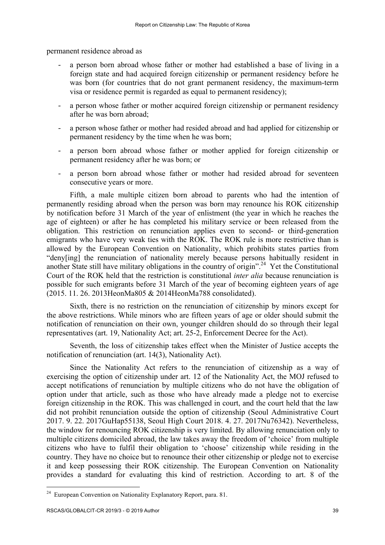permanent residence abroad as

- a person born abroad whose father or mother had established a base of living in a foreign state and had acquired foreign citizenship or permanent residency before he was born (for countries that do not grant permanent residency, the maximum-term visa or residence permit is regarded as equal to permanent residency);
- a person whose father or mother acquired foreign citizenship or permanent residency after he was born abroad;
- a person whose father or mother had resided abroad and had applied for citizenship or permanent residency by the time when he was born;
- a person born abroad whose father or mother applied for foreign citizenship or permanent residency after he was born; or
- a person born abroad whose father or mother had resided abroad for seventeen consecutive years or more.

Fifth, a male multiple citizen born abroad to parents who had the intention of permanently residing abroad when the person was born may renounce his ROK citizenship by notification before 31 March of the year of enlistment (the year in which he reaches the age of eighteen) or after he has completed his military service or been released from the obligation. This restriction on renunciation applies even to second- or third-generation emigrants who have very weak ties with the ROK. The ROK rule is more restrictive than is allowed by the European Convention on Nationality, which prohibits states parties from "deny[ing] the renunciation of nationality merely because persons habitually resident in another State still have military obligations in the country of origin".<sup>24</sup> Yet the Constitutional Court of the ROK held that the restriction is constitutional *inter alia* because renunciation is possible for such emigrants before 31 March of the year of becoming eighteen years of age (2015. 11. 26. 2013HeonMa805 & 2014HeonMa788 consolidated).

Sixth, there is no restriction on the renunciation of citizenship by minors except for the above restrictions. While minors who are fifteen years of age or older should submit the notification of renunciation on their own, younger children should do so through their legal representatives (art. 19, Nationality Act; art. 25-2, Enforcement Decree for the Act).

Seventh, the loss of citizenship takes effect when the Minister of Justice accepts the notification of renunciation (art. 14(3), Nationality Act).

Since the Nationality Act refers to the renunciation of citizenship as a way of exercising the option of citizenship under art. 12 of the Nationality Act, the MOJ refused to accept notifications of renunciation by multiple citizens who do not have the obligation of option under that article, such as those who have already made a pledge not to exercise foreign citizenship in the ROK. This was challenged in court, and the court held that the law did not prohibit renunciation outside the option of citizenship (Seoul Administrative Court 2017. 9. 22. 2017GuHap55138, Seoul High Court 2018. 4. 27. 2017Nu76342). Nevertheless, the window for renouncing ROK citizenship is very limited. By allowing renunciation only to multiple citizens domiciled abroad, the law takes away the freedom of 'choice' from multiple citizens who have to fulfil their obligation to 'choose' citizenship while residing in the country. They have no choice but to renounce their other citizenship or pledge not to exercise it and keep possessing their ROK citizenship. The European Convention on Nationality provides a standard for evaluating this kind of restriction. According to art. 8 of the

l

<sup>&</sup>lt;sup>24</sup> European Convention on Nationality Explanatory Report, para. 81.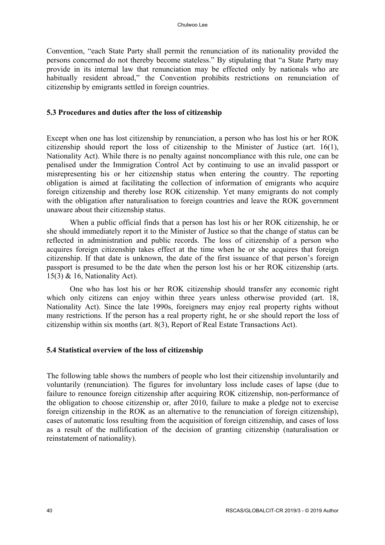Convention, "each State Party shall permit the renunciation of its nationality provided the persons concerned do not thereby become stateless." By stipulating that "a State Party may provide in its internal law that renunciation may be effected only by nationals who are habitually resident abroad," the Convention prohibits restrictions on renunciation of citizenship by emigrants settled in foreign countries.

### **5.3 Procedures and duties after the loss of citizenship**

Except when one has lost citizenship by renunciation, a person who has lost his or her ROK citizenship should report the loss of citizenship to the Minister of Justice (art. 16(1), Nationality Act). While there is no penalty against noncompliance with this rule, one can be penalised under the Immigration Control Act by continuing to use an invalid passport or misrepresenting his or her citizenship status when entering the country. The reporting obligation is aimed at facilitating the collection of information of emigrants who acquire foreign citizenship and thereby lose ROK citizenship. Yet many emigrants do not comply with the obligation after naturalisation to foreign countries and leave the ROK government unaware about their citizenship status.

When a public official finds that a person has lost his or her ROK citizenship, he or she should immediately report it to the Minister of Justice so that the change of status can be reflected in administration and public records. The loss of citizenship of a person who acquires foreign citizenship takes effect at the time when he or she acquires that foreign citizenship. If that date is unknown, the date of the first issuance of that person's foreign passport is presumed to be the date when the person lost his or her ROK citizenship (arts. 15(3) & 16, Nationality Act).

One who has lost his or her ROK citizenship should transfer any economic right which only citizens can enjoy within three years unless otherwise provided (art. 18, Nationality Act). Since the late 1990s, foreigners may enjoy real property rights without many restrictions. If the person has a real property right, he or she should report the loss of citizenship within six months (art. 8(3), Report of Real Estate Transactions Act).

### **5.4 Statistical overview of the loss of citizenship**

The following table shows the numbers of people who lost their citizenship involuntarily and voluntarily (renunciation). The figures for involuntary loss include cases of lapse (due to failure to renounce foreign citizenship after acquiring ROK citizenship, non-performance of the obligation to choose citizenship or, after 2010, failure to make a pledge not to exercise foreign citizenship in the ROK as an alternative to the renunciation of foreign citizenship), cases of automatic loss resulting from the acquisition of foreign citizenship, and cases of loss as a result of the nullification of the decision of granting citizenship (naturalisation or reinstatement of nationality).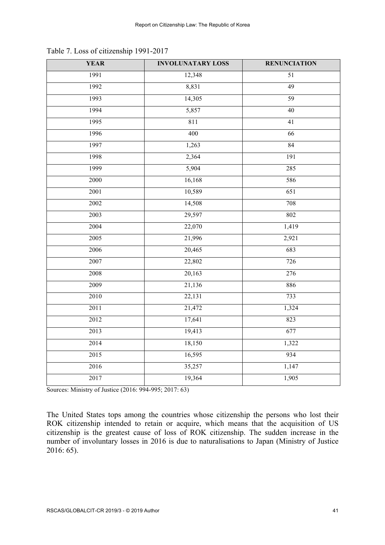| <b>YEAR</b> | <b>INVOLUNATARY LOSS</b> | <b>RENUNCIATION</b> |
|-------------|--------------------------|---------------------|
| 1991        | 12,348                   | 51                  |
| 1992        | 8,831                    | 49                  |
| 1993        | 14,305                   | 59                  |
| 1994        | 5,857                    | 40                  |
| 1995        | 811                      | 41                  |
| 1996        | 400                      | 66                  |
| 1997        | 1,263                    | $\bf 84$            |
| 1998        | 2,364                    | 191                 |
| 1999        | 5,904                    | 285                 |
| 2000        | 16,168                   | 586                 |
| 2001        | 10,589                   | 651                 |
| 2002        | 14,508                   | 708                 |
| 2003        | 29,597                   | 802                 |
| 2004        | 22,070                   | 1,419               |
| 2005        | 21,996                   | 2,921               |
| 2006        | 20,465                   | 683                 |
| 2007        | 22,802                   | 726                 |
| 2008        | 20,163                   | 276                 |
| 2009        | 21,136                   | 886                 |
| 2010        | 22,131                   | 733                 |
| 2011        | 21,472                   | 1,324               |
| 2012        | 17,641                   | 823                 |
| 2013        | 19,413                   | 677                 |
| 2014        | 18,150                   | 1,322               |
| 2015        | 16,595                   | 934                 |
| 2016        | 35,257                   | 1,147               |
| 2017        | 19,364                   | 1,905               |

Table 7. Loss of citizenship 1991-2017

Sources: Ministry of Justice (2016: 994-995; 2017: 63)

The United States tops among the countries whose citizenship the persons who lost their ROK citizenship intended to retain or acquire, which means that the acquisition of US citizenship is the greatest cause of loss of ROK citizenship. The sudden increase in the number of involuntary losses in 2016 is due to naturalisations to Japan (Ministry of Justice 2016: 65).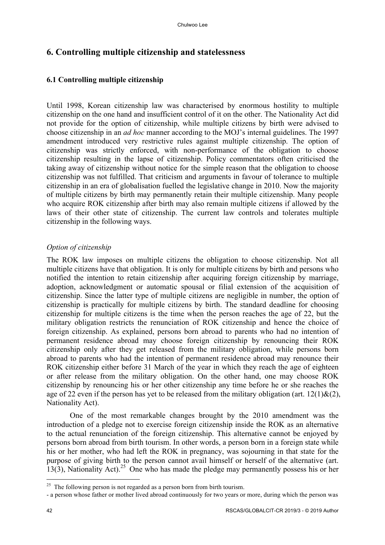# **6. Controlling multiple citizenship and statelessness**

# **6.1 Controlling multiple citizenship**

Until 1998, Korean citizenship law was characterised by enormous hostility to multiple citizenship on the one hand and insufficient control of it on the other. The Nationality Act did not provide for the option of citizenship, while multiple citizens by birth were advised to choose citizenship in an *ad hoc* manner according to the MOJ's internal guidelines. The 1997 amendment introduced very restrictive rules against multiple citizenship. The option of citizenship was strictly enforced, with non-performance of the obligation to choose citizenship resulting in the lapse of citizenship. Policy commentators often criticised the taking away of citizenship without notice for the simple reason that the obligation to choose citizenship was not fulfilled. That criticism and arguments in favour of tolerance to multiple citizenship in an era of globalisation fuelled the legislative change in 2010. Now the majority of multiple citizens by birth may permanently retain their multiple citizenship. Many people who acquire ROK citizenship after birth may also remain multiple citizens if allowed by the laws of their other state of citizenship. The current law controls and tolerates multiple citizenship in the following ways.

# *Option of citizenship*

The ROK law imposes on multiple citizens the obligation to choose citizenship. Not all multiple citizens have that obligation. It is only for multiple citizens by birth and persons who notified the intention to retain citizenship after acquiring foreign citizenship by marriage, adoption, acknowledgment or automatic spousal or filial extension of the acquisition of citizenship. Since the latter type of multiple citizens are negligible in number, the option of citizenship is practically for multiple citizens by birth. The standard deadline for choosing citizenship for multiple citizens is the time when the person reaches the age of 22, but the military obligation restricts the renunciation of ROK citizenship and hence the choice of foreign citizenship. As explained, persons born abroad to parents who had no intention of permanent residence abroad may choose foreign citizenship by renouncing their ROK citizenship only after they get released from the military obligation, while persons born abroad to parents who had the intention of permanent residence abroad may renounce their ROK citizenship either before 31 March of the year in which they reach the age of eighteen or after release from the military obligation. On the other hand, one may choose ROK citizenship by renouncing his or her other citizenship any time before he or she reaches the age of 22 even if the person has yet to be released from the military obligation (art.  $12(1)$ &(2), Nationality Act).

One of the most remarkable changes brought by the 2010 amendment was the introduction of a pledge not to exercise foreign citizenship inside the ROK as an alternative to the actual renunciation of the foreign citizenship. This alternative cannot be enjoyed by persons born abroad from birth tourism. In other words, a person born in a foreign state while his or her mother, who had left the ROK in pregnancy, was sojourning in that state for the purpose of giving birth to the person cannot avail himself or herself of the alternative (art. 13(3), Nationality Act).<sup>25</sup> One who has made the pledge may permanently possess his or her

 $^{25}$  The following person is not regarded as a person born from birth tourism.

<sup>-</sup> a person whose father or mother lived abroad continuously for two years or more, during which the person was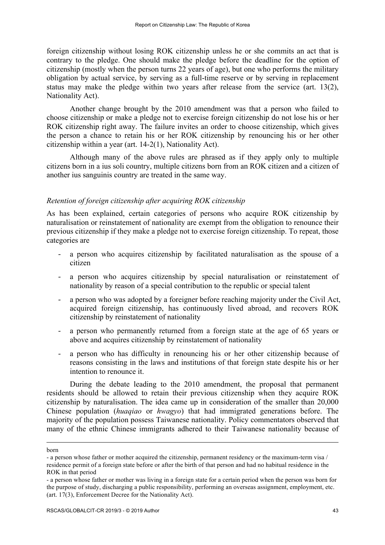foreign citizenship without losing ROK citizenship unless he or she commits an act that is contrary to the pledge. One should make the pledge before the deadline for the option of citizenship (mostly when the person turns 22 years of age), but one who performs the military obligation by actual service, by serving as a full-time reserve or by serving in replacement status may make the pledge within two years after release from the service (art. 13(2), Nationality Act).

Another change brought by the 2010 amendment was that a person who failed to choose citizenship or make a pledge not to exercise foreign citizenship do not lose his or her ROK citizenship right away. The failure invites an order to choose citizenship, which gives the person a chance to retain his or her ROK citizenship by renouncing his or her other citizenship within a year (art. 14-2(1), Nationality Act).

Although many of the above rules are phrased as if they apply only to multiple citizens born in a ius soli country, multiple citizens born from an ROK citizen and a citizen of another ius sanguinis country are treated in the same way.

### *Retention of foreign citizenship after acquiring ROK citizenship*

As has been explained, certain categories of persons who acquire ROK citizenship by naturalisation or reinstatement of nationality are exempt from the obligation to renounce their previous citizenship if they make a pledge not to exercise foreign citizenship. To repeat, those categories are

- a person who acquires citizenship by facilitated naturalisation as the spouse of a citizen
- a person who acquires citizenship by special naturalisation or reinstatement of nationality by reason of a special contribution to the republic or special talent
- a person who was adopted by a foreigner before reaching majority under the Civil Act, acquired foreign citizenship, has continuously lived abroad, and recovers ROK citizenship by reinstatement of nationality
- a person who permanently returned from a foreign state at the age of 65 years or above and acquires citizenship by reinstatement of nationality
- a person who has difficulty in renouncing his or her other citizenship because of reasons consisting in the laws and institutions of that foreign state despite his or her intention to renounce it.

During the debate leading to the 2010 amendment, the proposal that permanent residents should be allowed to retain their previous citizenship when they acquire ROK citizenship by naturalisation. The idea came up in consideration of the smaller than 20,000 Chinese population (*huaqiao* or *hwagyo*) that had immigrated generations before. The majority of the population possess Taiwanese nationality. Policy commentators observed that many of the ethnic Chinese immigrants adhered to their Taiwanese nationality because of

born

<sup>-</sup> a person whose father or mother acquired the citizenship, permanent residency or the maximum-term visa / residence permit of a foreign state before or after the birth of that person and had no habitual residence in the ROK in that period

<sup>-</sup> a person whose father or mother was living in a foreign state for a certain period when the person was born for the purpose of study, discharging a public responsibility, performing an overseas assignment, employment, etc. (art. 17(3), Enforcement Decree for the Nationality Act).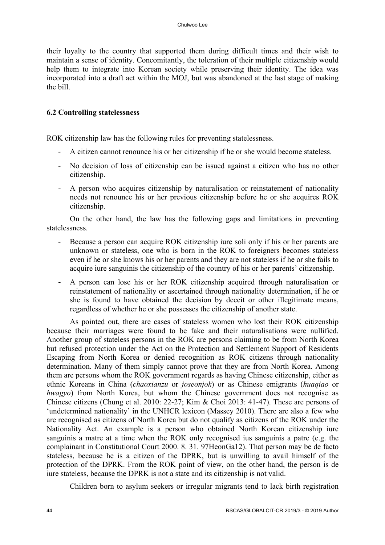their loyalty to the country that supported them during difficult times and their wish to maintain a sense of identity. Concomitantly, the toleration of their multiple citizenship would help them to integrate into Korean society while preserving their identity. The idea was incorporated into a draft act within the MOJ, but was abandoned at the last stage of making the bill.

# **6.2 Controlling statelessness**

ROK citizenship law has the following rules for preventing statelessness.

- A citizen cannot renounce his or her citizenship if he or she would become stateless.
- No decision of loss of citizenship can be issued against a citizen who has no other citizenship.
- A person who acquires citizenship by naturalisation or reinstatement of nationality needs not renounce his or her previous citizenship before he or she acquires ROK citizenship.

On the other hand, the law has the following gaps and limitations in preventing statelessness.

- Because a person can acquire ROK citizenship iure soli only if his or her parents are unknown or stateless, one who is born in the ROK to foreigners becomes stateless even if he or she knows his or her parents and they are not stateless if he or she fails to acquire iure sanguinis the citizenship of the country of his or her parents' citizenship.
- A person can lose his or her ROK citizenship acquired through naturalisation or reinstatement of nationality or ascertained through nationality determination, if he or she is found to have obtained the decision by deceit or other illegitimate means, regardless of whether he or she possesses the citizenship of another state.

As pointed out, there are cases of stateless women who lost their ROK citizenship because their marriages were found to be fake and their naturalisations were nullified. Another group of stateless persons in the ROK are persons claiming to be from North Korea but refused protection under the Act on the Protection and Settlement Support of Residents Escaping from North Korea or denied recognition as ROK citizens through nationality determination. Many of them simply cannot prove that they are from North Korea. Among them are persons whom the ROK government regards as having Chinese citizenship, either as ethnic Koreans in China (*chaoxianzu* or *joseonjok*) or as Chinese emigrants (*huaqiao* or *hwagyo*) from North Korea, but whom the Chinese government does not recognise as Chinese citizens (Chung et al. 2010: 22-27; Kim & Choi 2013: 41-47). These are persons of 'undetermined nationality' in the UNHCR lexicon (Massey 2010). There are also a few who are recognised as citizens of North Korea but do not qualify as citizens of the ROK under the Nationality Act. An example is a person who obtained North Korean citizenship iure sanguinis a matre at a time when the ROK only recognised ius sanguinis a patre (e.g. the complainant in Constitutional Court 2000. 8. 31. 97HeonGa12). That person may be de facto stateless, because he is a citizen of the DPRK, but is unwilling to avail himself of the protection of the DPRK. From the ROK point of view, on the other hand, the person is de iure stateless, because the DPRK is not a state and its citizenship is not valid.

Children born to asylum seekers or irregular migrants tend to lack birth registration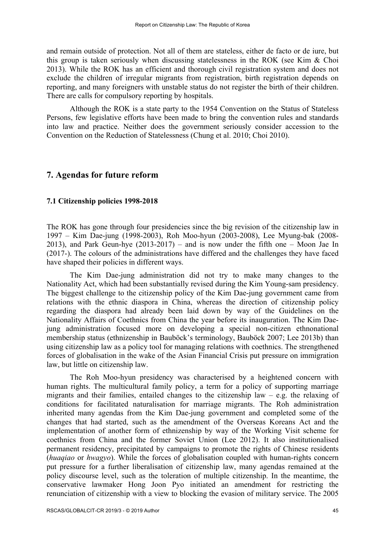and remain outside of protection. Not all of them are stateless, either de facto or de iure, but this group is taken seriously when discussing statelessness in the ROK (see Kim & Choi 2013). While the ROK has an efficient and thorough civil registration system and does not exclude the children of irregular migrants from registration, birth registration depends on reporting, and many foreigners with unstable status do not register the birth of their children. There are calls for compulsory reporting by hospitals.

Although the ROK is a state party to the 1954 Convention on the Status of Stateless Persons, few legislative efforts have been made to bring the convention rules and standards into law and practice. Neither does the government seriously consider accession to the Convention on the Reduction of Statelessness (Chung et al. 2010; Choi 2010).

## **7. Agendas for future reform**

### **7.1 Citizenship policies 1998-2018**

The ROK has gone through four presidencies since the big revision of the citizenship law in 1997 – Kim Dae-jung (1998-2003), Roh Moo-hyun (2003-2008), Lee Myung-bak (2008- 2013), and Park Geun-hye (2013-2017) – and is now under the fifth one – Moon Jae In (2017-). The colours of the administrations have differed and the challenges they have faced have shaped their policies in different ways.

The Kim Dae-jung administration did not try to make many changes to the Nationality Act, which had been substantially revised during the Kim Young-sam presidency. The biggest challenge to the citizenship policy of the Kim Dae-jung government came from relations with the ethnic diaspora in China, whereas the direction of citizenship policy regarding the diaspora had already been laid down by way of the Guidelines on the Nationality Affairs of Coethnics from China the year before its inauguration. The Kim Daejung administration focused more on developing a special non-citizen ethnonational membership status (ethnizenship in Bauböck's terminology, Bauböck 2007; Lee 2013b) than using citizenship law as a policy tool for managing relations with coethnics. The strengthened forces of globalisation in the wake of the Asian Financial Crisis put pressure on immigration law, but little on citizenship law.

The Roh Moo-hyun presidency was characterised by a heightened concern with human rights. The multicultural family policy, a term for a policy of supporting marriage migrants and their families, entailed changes to the citizenship law  $-$  e.g. the relaxing of conditions for facilitated naturalisation for marriage migrants. The Roh administration inherited many agendas from the Kim Dae-jung government and completed some of the changes that had started, such as the amendment of the Overseas Koreans Act and the implementation of another form of ethnizenship by way of the Working Visit scheme for coethnics from China and the former Soviet Union (Lee 2012). It also institutionalised permanent residency, precipitated by campaigns to promote the rights of Chinese residents (*huaqiao* or *hwagyo*). While the forces of globalisation coupled with human-rights concern put pressure for a further liberalisation of citizenship law, many agendas remained at the policy discourse level, such as the toleration of multiple citizenship. In the meantime, the conservative lawmaker Hong Joon Pyo initiated an amendment for restricting the renunciation of citizenship with a view to blocking the evasion of military service. The 2005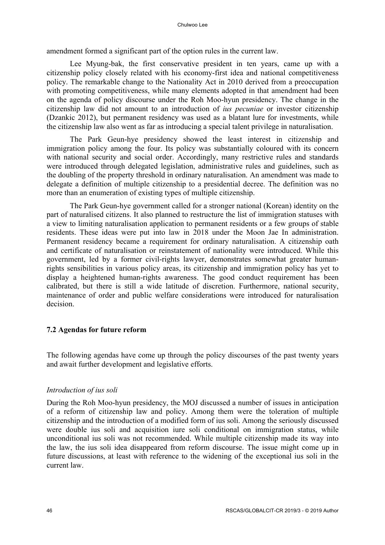amendment formed a significant part of the option rules in the current law.

Lee Myung-bak, the first conservative president in ten years, came up with a citizenship policy closely related with his economy-first idea and national competitiveness policy. The remarkable change to the Nationality Act in 2010 derived from a preoccupation with promoting competitiveness, while many elements adopted in that amendment had been on the agenda of policy discourse under the Roh Moo-hyun presidency. The change in the citizenship law did not amount to an introduction of *ius pecuniae* or investor citizenship (Dzankic 2012), but permanent residency was used as a blatant lure for investments, while the citizenship law also went as far as introducing a special talent privilege in naturalisation.

The Park Geun-hye presidency showed the least interest in citizenship and immigration policy among the four. Its policy was substantially coloured with its concern with national security and social order. Accordingly, many restrictive rules and standards were introduced through delegated legislation, administrative rules and guidelines, such as the doubling of the property threshold in ordinary naturalisation. An amendment was made to delegate a definition of multiple citizenship to a presidential decree. The definition was no more than an enumeration of existing types of multiple citizenship.

The Park Geun-hye government called for a stronger national (Korean) identity on the part of naturalised citizens. It also planned to restructure the list of immigration statuses with a view to limiting naturalisation application to permanent residents or a few groups of stable residents. These ideas were put into law in 2018 under the Moon Jae In administration. Permanent residency became a requirement for ordinary naturalisation. A citizenship oath and certificate of naturalisation or reinstatement of nationality were introduced. While this government, led by a former civil-rights lawyer, demonstrates somewhat greater humanrights sensibilities in various policy areas, its citizenship and immigration policy has yet to display a heightened human-rights awareness. The good conduct requirement has been calibrated, but there is still a wide latitude of discretion. Furthermore, national security, maintenance of order and public welfare considerations were introduced for naturalisation decision.

# **7.2 Agendas for future reform**

The following agendas have come up through the policy discourses of the past twenty years and await further development and legislative efforts.

# *Introduction of ius soli*

During the Roh Moo-hyun presidency, the MOJ discussed a number of issues in anticipation of a reform of citizenship law and policy. Among them were the toleration of multiple citizenship and the introduction of a modified form of ius soli. Among the seriously discussed were double ius soli and acquisition iure soli conditional on immigration status, while unconditional ius soli was not recommended. While multiple citizenship made its way into the law, the ius soli idea disappeared from reform discourse. The issue might come up in future discussions, at least with reference to the widening of the exceptional ius soli in the current law.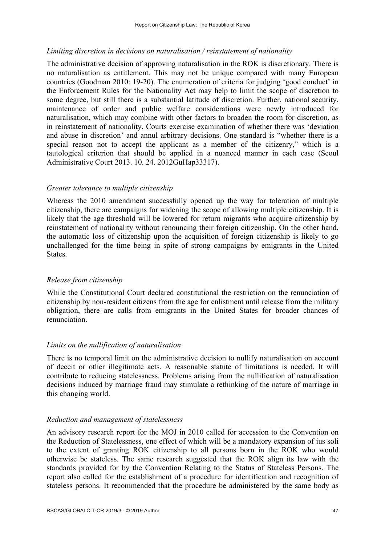### *Limiting discretion in decisions on naturalisation / reinstatement of nationality*

The administrative decision of approving naturalisation in the ROK is discretionary. There is no naturalisation as entitlement. This may not be unique compared with many European countries (Goodman 2010: 19-20). The enumeration of criteria for judging 'good conduct' in the Enforcement Rules for the Nationality Act may help to limit the scope of discretion to some degree, but still there is a substantial latitude of discretion. Further, national security, maintenance of order and public welfare considerations were newly introduced for naturalisation, which may combine with other factors to broaden the room for discretion, as in reinstatement of nationality. Courts exercise examination of whether there was 'deviation and abuse in discretion' and annul arbitrary decisions. One standard is "whether there is a special reason not to accept the applicant as a member of the citizenry," which is a tautological criterion that should be applied in a nuanced manner in each case (Seoul Administrative Court 2013. 10. 24. 2012GuHap33317).

### *Greater tolerance to multiple citizenship*

Whereas the 2010 amendment successfully opened up the way for toleration of multiple citizenship, there are campaigns for widening the scope of allowing multiple citizenship. It is likely that the age threshold will be lowered for return migrants who acquire citizenship by reinstatement of nationality without renouncing their foreign citizenship. On the other hand, the automatic loss of citizenship upon the acquisition of foreign citizenship is likely to go unchallenged for the time being in spite of strong campaigns by emigrants in the United **States**.

### *Release from citizenship*

While the Constitutional Court declared constitutional the restriction on the renunciation of citizenship by non-resident citizens from the age for enlistment until release from the military obligation, there are calls from emigrants in the United States for broader chances of renunciation.

### *Limits on the nullification of naturalisation*

There is no temporal limit on the administrative decision to nullify naturalisation on account of deceit or other illegitimate acts. A reasonable statute of limitations is needed. It will contribute to reducing statelessness. Problems arising from the nullification of naturalisation decisions induced by marriage fraud may stimulate a rethinking of the nature of marriage in this changing world.

#### *Reduction and management of statelessness*

An advisory research report for the MOJ in 2010 called for accession to the Convention on the Reduction of Statelessness, one effect of which will be a mandatory expansion of ius soli to the extent of granting ROK citizenship to all persons born in the ROK who would otherwise be stateless. The same research suggested that the ROK align its law with the standards provided for by the Convention Relating to the Status of Stateless Persons. The report also called for the establishment of a procedure for identification and recognition of stateless persons. It recommended that the procedure be administered by the same body as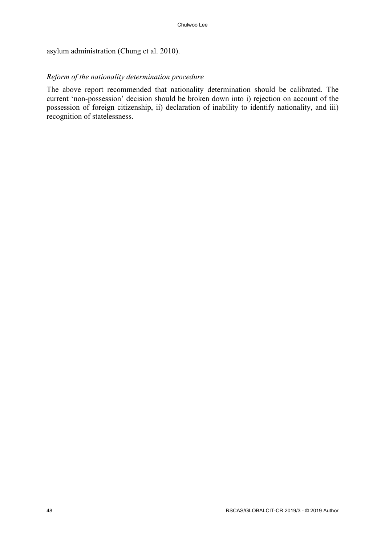asylum administration (Chung et al. 2010).

# *Reform of the nationality determination procedure*

The above report recommended that nationality determination should be calibrated. The current 'non-possession' decision should be broken down into i) rejection on account of the possession of foreign citizenship, ii) declaration of inability to identify nationality, and iii) recognition of statelessness.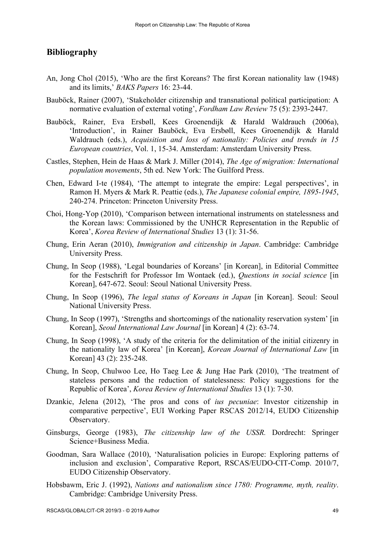# **Bibliography**

- An, Jong Chol (2015), 'Who are the first Koreans? The first Korean nationality law (1948) and its limits,' *BAKS Papers* 16: 23-44.
- Bauböck, Rainer (2007), 'Stakeholder citizenship and transnational political participation: A normative evaluation of external voting', *Fordham Law Review* 75 (5): 2393-2447.
- Bauböck, Rainer, Eva Ersbøll, Kees Groenendijk & Harald Waldrauch (2006a), 'Introduction', in Rainer Bauböck, Eva Ersbøll, Kees Groenendijk & Harald Waldrauch (eds.), *Acquisition and loss of nationality: Policies and trends in 15 European countries*, Vol. 1, 15-34. Amsterdam: Amsterdam University Press.
- Castles, Stephen, Hein de Haas & Mark J. Miller (2014), *The Age of migration: International population movements*, 5th ed. New York: The Guilford Press.
- Chen, Edward I-te (1984), 'The attempt to integrate the empire: Legal perspectives', in Ramon H. Myers & Mark R. Peattie (eds.), *The Japanese colonial empire, 1895-1945*, 240-274. Princeton: Princeton University Press.
- Choi, Hong-Yop (2010), 'Comparison between international instruments on statelessness and the Korean laws: Commissioned by the UNHCR Representation in the Republic of Korea', *Korea Review of International Studies* 13 (1): 31-56.
- Chung, Erin Aeran (2010), *Immigration and citizenship in Japan*. Cambridge: Cambridge University Press.
- Chung, In Seop (1988), 'Legal boundaries of Koreans' [in Korean], in Editorial Committee for the Festschrift for Professor Im Wontaek (ed.), *Questions in social science* [in Korean], 647-672. Seoul: Seoul National University Press.
- Chung, In Seop (1996), *The legal status of Koreans in Japan* [in Korean]. Seoul: Seoul National University Press.
- Chung, In Seop (1997), 'Strengths and shortcomings of the nationality reservation system' [in Korean], *Seoul International Law Journal* [in Korean] 4 (2): 63-74.
- Chung, In Seop (1998), 'A study of the criteria for the delimitation of the initial citizenry in the nationality law of Korea' [in Korean], *Korean Journal of International Law* [in Korean] 43 (2): 235-248.
- Chung, In Seop, Chulwoo Lee, Ho Taeg Lee & Jung Hae Park (2010), 'The treatment of stateless persons and the reduction of statelessness: Policy suggestions for the Republic of Korea', *Korea Review of International Studies* 13 (1): 7-30.
- Dzankic, Jelena (2012), 'The pros and cons of *ius pecuniae*: Investor citizenship in comparative perpective', EUI Working Paper RSCAS 2012/14, EUDO Citizenship Observatory.
- Ginsburgs, George (1983), *The citizenship law of the USSR.* Dordrecht: Springer Science+Business Media.
- Goodman, Sara Wallace (2010), 'Naturalisation policies in Europe: Exploring patterns of inclusion and exclusion', Comparative Report, RSCAS/EUDO-CIT-Comp. 2010/7, EUDO Citizenship Observatory.
- Hobsbawm, Eric J. (1992), *Nations and nationalism since 1780: Programme, myth, reality*. Cambridge: Cambridge University Press.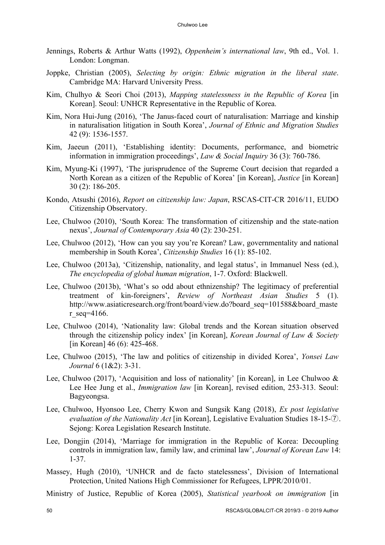- Jennings, Roberts & Arthur Watts (1992), *Oppenheim's international law*, 9th ed., Vol. 1. London: Longman.
- Joppke, Christian (2005), *Selecting by origin: Ethnic migration in the liberal state*. Cambridge MA: Harvard University Press.
- Kim, Chulhyo & Seori Choi (2013), *Mapping statelessness in the Republic of Korea* [in Korean]. Seoul: UNHCR Representative in the Republic of Korea.
- Kim, Nora Hui-Jung (2016), 'The Janus-faced court of naturalisation: Marriage and kinship in naturalisation litigation in South Korea', *Journal of Ethnic and Migration Studies* 42 (9): 1536-1557.
- Kim, Jaeeun (2011), 'Establishing identity: Documents, performance, and biometric information in immigration proceedings', *Law & Social Inquiry* 36 (3): 760-786.
- Kim, Myung-Ki (1997), 'The jurisprudence of the Supreme Court decision that regarded a North Korean as a citizen of the Republic of Korea' [in Korean], *Justice* [in Korean] 30 (2): 186-205.
- Kondo, Atsushi (2016), *Report on citizenship law: Japan*, RSCAS-CIT-CR 2016/11, EUDO Citizenship Observatory.
- Lee, Chulwoo (2010), 'South Korea: The transformation of citizenship and the state-nation nexus', *Journal of Contemporary Asia* 40 (2): 230-251.
- Lee, Chulwoo (2012), 'How can you say you're Korean? Law, governmentality and national membership in South Korea', *Citizenship Studies* 16 (1): 85-102.
- Lee, Chulwoo (2013a), 'Citizenship, nationality, and legal status', in Immanuel Ness (ed.), *The encyclopedia of global human migration*, 1-7. Oxford: Blackwell.
- Lee, Chulwoo (2013b), 'What's so odd about ethnizenship? The legitimacy of preferential treatment of kin-foreigners', *Review of Northeast Asian Studies* 5 (1). http://www.asiaticresearch.org/front/board/view.do?board\_seq=101588&board\_maste r seq=4166.
- Lee, Chulwoo (2014), 'Nationality law: Global trends and the Korean situation observed through the citizenship policy index' [in Korean], *Korean Journal of Law & Society* [in Korean] 46 (6): 425-468.
- Lee, Chulwoo (2015), 'The law and politics of citizenship in divided Korea', *Yonsei Law Journal* 6 (1&2): 3-31.
- Lee, Chulwoo (2017), 'Acquisition and loss of nationality' [in Korean], in Lee Chulwoo & Lee Hee Jung et al., *Immigration law* [in Korean], revised edition, 253-313. Seoul: Bagyeongsa.
- Lee, Chulwoo, Hyonsoo Lee, Cherry Kwon and Sungsik Kang (2018), *Ex post legislative evaluation of the Nationality Act* [in Korean], Legislative Evaluation Studies 18-15-⑦. Sejong: Korea Legislation Research Institute.
- Lee, Dongjin (2014), 'Marriage for immigration in the Republic of Korea: Decoupling controls in immigration law, family law, and criminal law', *Journal of Korean Law* 14: 1-37.
- Massey, Hugh (2010), 'UNHCR and de facto statelessness', Division of International Protection, United Nations High Commissioner for Refugees, LPPR/2010/01.
- Ministry of Justice, Republic of Korea (2005), *Statistical yearbook on immigration* [in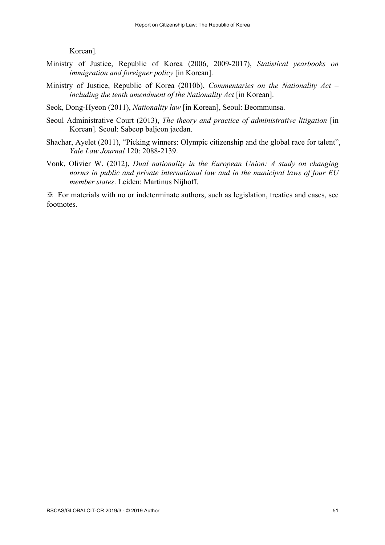Korean].

- Ministry of Justice, Republic of Korea (2006, 2009-2017), *Statistical yearbooks on immigration and foreigner policy* [in Korean].
- Ministry of Justice, Republic of Korea (2010b), *Commentaries on the Nationality Act – including the tenth amendment of the Nationality Act* [in Korean].
- Seok, Dong-Hyeon (2011), *Nationality law* [in Korean], Seoul: Beommunsa.
- Seoul Administrative Court (2013), *The theory and practice of administrative litigation* [in] Korean]. Seoul: Sabeop baljeon jaedan.
- Shachar, Ayelet (2011), "Picking winners: Olympic citizenship and the global race for talent", *Yale Law Journal* 120: 2088-2139.
- Vonk, Olivier W. (2012), *Dual nationality in the European Union: A study on changing norms in public and private international law and in the municipal laws of four EU member states*. Leiden: Martinus Nijhoff.

※ For materials with no or indeterminate authors, such as legislation, treaties and cases, see footnotes.